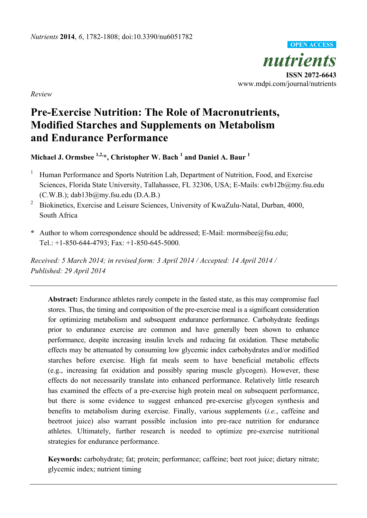

*Review* 

# **Pre-Exercise Nutrition: The Role of Macronutrients, Modified Starches and Supplements on Metabolism and Endurance Performance**

**Michael J. Ormsbee 1,2,\*, Christopher W. Bach 1 and Daniel A. Baur <sup>1</sup>**

- 1 Human Performance and Sports Nutrition Lab, Department of Nutrition, Food, and Exercise Sciences, Florida State University, Tallahassee, FL 32306, USA; E-Mails: cwb12b@my.fsu.edu (C.W.B.); dab13b@my.fsu.edu (D.A.B.)
- 2 Biokinetics, Exercise and Leisure Sciences, University of KwaZulu-Natal, Durban, 4000, South Africa
- **\*** Author to whom correspondence should be addressed; E-Mail: mormsbee@fsu.edu; Tel.: +1-850-644-4793; Fax: +1-850-645-5000.

*Received: 5 March 2014; in revised form: 3 April 2014 / Accepted: 14 April 2014 / Published: 29 April 2014* 

**Abstract:** Endurance athletes rarely compete in the fasted state, as this may compromise fuel stores. Thus, the timing and composition of the pre-exercise meal is a significant consideration for optimizing metabolism and subsequent endurance performance. Carbohydrate feedings prior to endurance exercise are common and have generally been shown to enhance performance, despite increasing insulin levels and reducing fat oxidation. These metabolic effects may be attenuated by consuming low glycemic index carbohydrates and/or modified starches before exercise. High fat meals seem to have beneficial metabolic effects (e.g., increasing fat oxidation and possibly sparing muscle glycogen). However, these effects do not necessarily translate into enhanced performance. Relatively little research has examined the effects of a pre-exercise high protein meal on subsequent performance, but there is some evidence to suggest enhanced pre-exercise glycogen synthesis and benefits to metabolism during exercise. Finally, various supplements (*i.e.*, caffeine and beetroot juice) also warrant possible inclusion into pre-race nutrition for endurance athletes. Ultimately, further research is needed to optimize pre-exercise nutritional strategies for endurance performance.

**Keywords:** carbohydrate; fat; protein; performance; caffeine; beet root juice; dietary nitrate; glycemic index; nutrient timing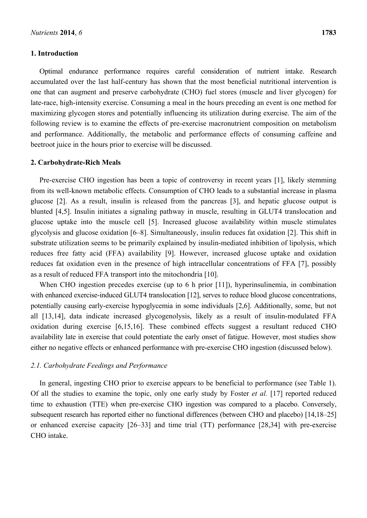## **1. Introduction**

Optimal endurance performance requires careful consideration of nutrient intake. Research accumulated over the last half-century has shown that the most beneficial nutritional intervention is one that can augment and preserve carbohydrate (CHO) fuel stores (muscle and liver glycogen) for late-race, high-intensity exercise. Consuming a meal in the hours preceding an event is one method for maximizing glycogen stores and potentially influencing its utilization during exercise. The aim of the following review is to examine the effects of pre-exercise macronutrient composition on metabolism and performance. Additionally, the metabolic and performance effects of consuming caffeine and beetroot juice in the hours prior to exercise will be discussed.

#### **2. Carbohydrate-Rich Meals**

Pre-exercise CHO ingestion has been a topic of controversy in recent years [1], likely stemming from its well-known metabolic effects. Consumption of CHO leads to a substantial increase in plasma glucose [2]. As a result, insulin is released from the pancreas [3], and hepatic glucose output is blunted [4,5]. Insulin initiates a signaling pathway in muscle, resulting in GLUT4 translocation and glucose uptake into the muscle cell [5]. Increased glucose availability within muscle stimulates glycolysis and glucose oxidation [6–8]. Simultaneously, insulin reduces fat oxidation [2]. This shift in substrate utilization seems to be primarily explained by insulin-mediated inhibition of lipolysis, which reduces free fatty acid (FFA) availability [9]. However, increased glucose uptake and oxidation reduces fat oxidation even in the presence of high intracellular concentrations of FFA [7], possibly as a result of reduced FFA transport into the mitochondria [10].

When CHO ingestion precedes exercise (up to 6 h prior [11]), hyperinsulinemia, in combination with enhanced exercise-induced GLUT4 translocation [12], serves to reduce blood glucose concentrations, potentially causing early-exercise hypoglycemia in some individuals [2,6]. Additionally, some, but not all [13,14], data indicate increased glycogenolysis, likely as a result of insulin-modulated FFA oxidation during exercise [6,15,16]. These combined effects suggest a resultant reduced CHO availability late in exercise that could potentiate the early onset of fatigue. However, most studies show either no negative effects or enhanced performance with pre-exercise CHO ingestion (discussed below).

#### *2.1. Carbohydrate Feedings and Performance*

In general, ingesting CHO prior to exercise appears to be beneficial to performance (see Table 1). Of all the studies to examine the topic, only one early study by Foster *et al.* [17] reported reduced time to exhaustion (TTE) when pre-exercise CHO ingestion was compared to a placebo. Conversely, subsequent research has reported either no functional differences (between CHO and placebo) [14,18–25] or enhanced exercise capacity [26–33] and time trial (TT) performance [28,34] with pre-exercise CHO intake.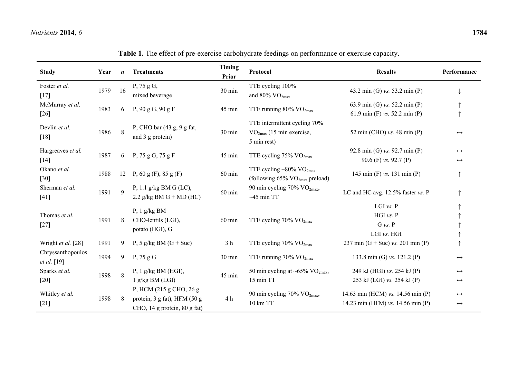| <b>Study</b>                     | Year | $\boldsymbol{n}$ | <b>Treatments</b>                                                                       | Timing<br><b>Prior</b> | Protocol                                                                                    | <b>Results</b>                                                         | Performance                            |
|----------------------------------|------|------------------|-----------------------------------------------------------------------------------------|------------------------|---------------------------------------------------------------------------------------------|------------------------------------------------------------------------|----------------------------------------|
| Foster et al.<br>$[17]$          | 1979 | 16               | P, 75 g G,<br>mixed beverage                                                            | 30 min                 | TTE cycling 100%<br>and 80% $\rm VO_{2max}$                                                 | 43.2 min (G) vs. 53.2 min (P)                                          |                                        |
| McMurray et al.                  | 1983 | 6                | P, $90 g G$ , $90 g F$                                                                  | 45 min                 | TTE running $80\%$ VO <sub>2max</sub>                                                       | 63.9 min (G) vs. 52.2 min (P)                                          |                                        |
| $[26]$                           |      |                  |                                                                                         |                        |                                                                                             | 61.9 min (F) vs. 52.2 min (P)                                          |                                        |
| Devlin et al.<br>[18]            | 1986 | 8                | P, CHO bar (43 g, 9 g fat,<br>and 3 g protein)                                          | $30 \text{ min}$       | TTE intermittent cycling 70%<br>$VO2max$ (15 min exercise,<br>5 min rest)                   | 52 min (CHO) $vs.$ 48 min (P)                                          | $\leftrightarrow$                      |
| Hargreaves et al.                |      |                  |                                                                                         |                        | 92.8 min (G) vs. 92.7 min (P)                                                               | $\leftrightarrow$                                                      |                                        |
| $[14]$                           | 1987 | 6                | P, $75 g G$ , $75 g F$                                                                  | 45 min                 | TTE cycling $75\%$ VO <sub>2max</sub>                                                       | 90.6 (F) vs. 92.7 (P)                                                  | $\leftrightarrow$                      |
| Okano et al.<br>$[30]$           | 1988 | 12               | P, 60 g (F), 85 g (F)                                                                   | $60$ min               | TTE cycling $\sim 80\%$ VO <sub>2max</sub><br>(following $65\%$ VO <sub>2max</sub> preload) | 145 min $(F)$ vs. 131 min $(P)$                                        |                                        |
| Sherman et al.<br>$[41]$         | 1991 | $\mathbf{Q}$     | P, 1.1 g/kg BM G (LC),<br>2.2 g/kg BM G + MD (HC)                                       | $60$ min               | 90 min cycling 70% VO <sub>2max</sub> ,<br>$~1$ -45 min TT                                  | LC and HC avg. 12.5% faster vs. P                                      |                                        |
|                                  |      |                  | P, $1$ g/kg BM<br>CHO-lentils (LGI),<br>$60$ min<br>potato (HGI), G                     |                        |                                                                                             | LGI vs. P                                                              |                                        |
| Thomas et al.                    | 1991 | 8                |                                                                                         |                        | TTE cycling $70\%$ VO <sub>2max</sub>                                                       | HGI vs. P                                                              |                                        |
| $[27]$                           |      |                  |                                                                                         |                        |                                                                                             | $G$ vs. $P$                                                            |                                        |
|                                  |      |                  |                                                                                         |                        |                                                                                             | LGI vs. HGI                                                            |                                        |
| Wright et al. [28]               | 1991 | 9                | P, 5 g/kg BM $(G + Suc)$                                                                | 3 <sub>h</sub>         | TTE cycling $70\%$ VO <sub>2max</sub>                                                       | 237 min $(G + Suc)$ vs. 201 min $(P)$                                  |                                        |
| Chryssanthopoulos<br>et al. [19] | 1994 | 9                | $P$ , 75 g G                                                                            | 30 min                 | TTE running $70\%$ VO <sub>2max</sub>                                                       | 133.8 min (G) vs. 121.2 (P)                                            | $\leftrightarrow$                      |
| Sparks et al.<br>1998<br>$[20]$  |      | 8                | P, $1$ g/kg BM (HGI),                                                                   | 45 min                 | 50 min cycling at ~65% $VO2max$ ,                                                           | 249 kJ (HGI) vs. 254 kJ (P)                                            | $\leftrightarrow$                      |
|                                  |      |                  | $1$ g/kg BM (LGI)                                                                       |                        | 15 min TT                                                                                   | 253 kJ (LGI) vs. 254 kJ (P)                                            | $\leftrightarrow$                      |
| Whitley et al.<br>$[21]$         | 1998 | 8                | P, HCM (215 g CHO, 26 g<br>protein, 3 g fat), HFM (50 g<br>CHO, 14 g protein, 80 g fat) | 4 h                    | 90 min cycling 70% VO <sub>2max</sub> ,<br>10 km TT                                         | 14.63 min (HCM) vs. 14.56 min (P)<br>14.23 min (HFM) vs. 14.56 min (P) | $\leftrightarrow$<br>$\leftrightarrow$ |

| Table 1. The effect of pre-exercise carbohydrate feedings on performance or exercise capacity. |  |
|------------------------------------------------------------------------------------------------|--|
|------------------------------------------------------------------------------------------------|--|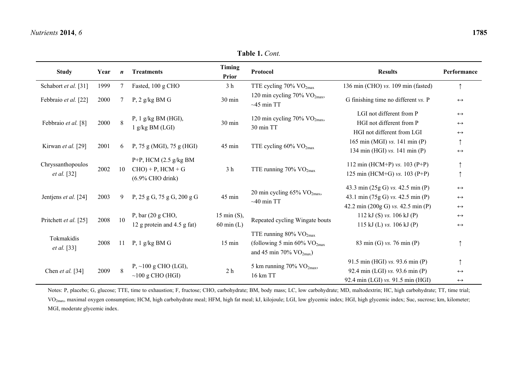| <b>Study</b>               | Year | $\boldsymbol{n}$ | <b>Treatments</b>                                  | Timing<br><b>Prior</b>                | Protocol                                          | <b>Results</b>                      | Performance       |
|----------------------------|------|------------------|----------------------------------------------------|---------------------------------------|---------------------------------------------------|-------------------------------------|-------------------|
| Schabort et al. [31]       | 1999 | $\overline{7}$   | Fasted, 100 g CHO                                  | 3 <sub>h</sub>                        | TTE cycling 70% VO <sub>2max</sub>                | 136 min (CHO) vs. 109 min (fasted)  | $\uparrow$        |
| Febbraio et al. [22]       | 2000 |                  | $P$ , 2 g/kg BM G                                  | 30 min                                | 120 min cycling 70% $VO2max$ ,<br>$~1$ -45 min TT | G finishing time no different vs. P | $\leftrightarrow$ |
| Febbraio et al. [8]        |      |                  | $P$ , 1 g/kg BM (HGI),<br>g/kg BM (LGI)            | 30 min                                | 120 min cycling 70% VO <sub>2max</sub> ,          | LGI not different from P            | $\leftrightarrow$ |
|                            | 2000 | 8                |                                                    |                                       | 30 min TT                                         | HGI not different from P            | $\leftrightarrow$ |
|                            |      |                  |                                                    |                                       |                                                   | HGI not different from LGI          | $\leftrightarrow$ |
| Kirwan et al. [29]<br>2001 |      |                  | 45 min                                             | TTE cycling $60\%$ VO <sub>2max</sub> | 165 min (MGI) vs. 141 min (P)                     |                                     |                   |
|                            |      | 6                | P, 75 g (MGI), 75 g (HGI)                          |                                       |                                                   | 134 min (HGI) vs. 141 min (P)       | $\leftrightarrow$ |
| Chryssanthopoulos          | 2002 | 10               | $P+P$ , HCM (2.5 g/kg BM<br>$CHO$ ) + P, $HCM + G$ | 3 <sub>h</sub>                        | TTE running $70\%$ VO <sub>2max</sub>             | 112 min (HCM+P) $vs. 103$ (P+P)     |                   |
| <i>et al.</i> [32]         |      |                  | $(6.9\%$ CHO drink)                                |                                       |                                                   | 125 min (HCM+G) vs. 103 (P+P)       | $\uparrow$        |
|                            |      | 9                | P, $25 g G$ , $75 g G$ , $200 g G$                 | 45 min                                | 20 min cycling $65\%$ VO <sub>2max</sub> ,        | 43.3 min (25g G) vs. 42.5 min (P)   | $\leftrightarrow$ |
| Jentjens et al. [24]       | 2003 |                  |                                                    |                                       |                                                   | 43.1 min (75g G) vs. 42.5 min (P)   | $\leftrightarrow$ |
|                            |      |                  |                                                    |                                       | $~10$ min TT                                      | 42.2 min (200g G) vs. 42.5 min (P)  | $\leftrightarrow$ |
|                            |      | 10               | P, bar $(20 \text{ g }CHO,$                        | $15 \text{ min (S)}$ ,                |                                                   | 112 kJ (S) vs. 106 kJ (P)           | $\leftrightarrow$ |
| Pritchett et al. [25]      | 2008 |                  | 12 g protein and 4.5 g fat)                        | $60$ min $(L)$                        | Repeated cycling Wingate bouts                    | 115 kJ (L) vs. $106$ kJ (P)         | $\leftrightarrow$ |
|                            |      |                  |                                                    |                                       | TTE running $80\%$ VO <sub>2max</sub>             |                                     |                   |
| Tokmakidis                 | 2008 | 11               | P, $1$ g/kg BM G                                   | $15 \text{ min}$                      | (following 5 min 60% $\rm VO_{2max}$              | 83 min (G) vs. 76 min (P)           |                   |
| <i>et al.</i> [33]         |      |                  |                                                    |                                       | and 45 min 70% $VO_{2max}$ )                      |                                     |                   |
|                            |      |                  | $P, \sim 100$ g CHO (LGI),                         |                                       |                                                   | 91.5 min (HGI) vs. 93.6 min (P)     |                   |
| Chen et al. [34]           | 2009 | 8                |                                                    | 2 <sub>h</sub>                        | 5 km running 70% $VO_{2max}$ ,<br>16 km TT        | 92.4 min (LGI) vs. 93.6 min (P)     | $\leftrightarrow$ |
|                            |      |                  | $\sim$ 100 g CHO (HGI)                             |                                       |                                                   | 92.4 min (LGI) vs. 91.5 min (HGI)   | $\leftrightarrow$ |

Notes: P, placebo; G, glucose; TTE, time to exhaustion; F, fructose; CHO, carbohydrate; BM, body mass; LC, low carbohydrate; MD, maltodextrin; HC, high carbohydrate; TT, time trial; VO<sub>2max</sub>, maximal oxygen consumption; HCM, high carbohydrate meal; HFM, high fat meal; kJ, kilojoule; LGI, low glycemic index; HGI, high glycemic index; Suc, sucrose; km, kilometer; MGI, moderate glycemic index.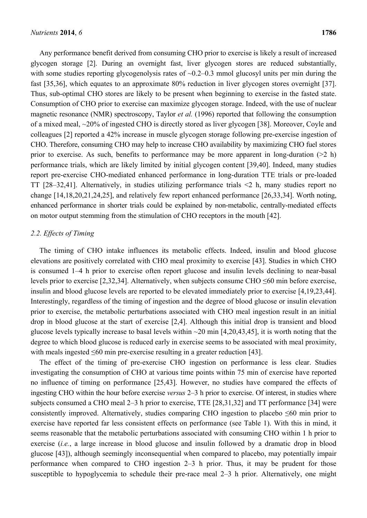Any performance benefit derived from consuming CHO prior to exercise is likely a result of increased glycogen storage [2]. During an overnight fast, liver glycogen stores are reduced substantially, with some studies reporting glycogenolysis rates of  $\sim 0.2 - 0.3$  mmol glucosyl units per min during the fast [35,36], which equates to an approximate 80% reduction in liver glycogen stores overnight [37]. Thus, sub-optimal CHO stores are likely to be present when beginning to exercise in the fasted state. Consumption of CHO prior to exercise can maximize glycogen storage. Indeed, with the use of nuclear magnetic resonance (NMR) spectroscopy, Taylor *et al.* (1996) reported that following the consumption of a mixed meal, ~20% of ingested CHO is directly stored as liver glycogen [38]. Moreover, Coyle and colleagues [2] reported a 42% increase in muscle glycogen storage following pre-exercise ingestion of CHO. Therefore, consuming CHO may help to increase CHO availability by maximizing CHO fuel stores prior to exercise. As such, benefits to performance may be more apparent in long-duration  $(2 h)$ performance trials, which are likely limited by initial glycogen content [39,40]. Indeed, many studies report pre-exercise CHO-mediated enhanced performance in long-duration TTE trials or pre-loaded TT [28–32,41]. Alternatively, in studies utilizing performance trials <2 h, many studies report no change [14,18,20,21,24,25], and relatively few report enhanced performance [26,33,34]. Worth noting, enhanced performance in shorter trials could be explained by non-metabolic, centrally-mediated effects on motor output stemming from the stimulation of CHO receptors in the mouth [42].

## *2.2. Effects of Timing*

The timing of CHO intake influences its metabolic effects. Indeed, insulin and blood glucose elevations are positively correlated with CHO meal proximity to exercise [43]. Studies in which CHO is consumed 1–4 h prior to exercise often report glucose and insulin levels declining to near-basal levels prior to exercise [2,32,34]. Alternatively, when subjects consume CHO ≤60 min before exercise, insulin and blood glucose levels are reported to be elevated immediately prior to exercise [4,19,23,44]. Interestingly, regardless of the timing of ingestion and the degree of blood glucose or insulin elevation prior to exercise, the metabolic perturbations associated with CHO meal ingestion result in an initial drop in blood glucose at the start of exercise [2,4]. Although this initial drop is transient and blood glucose levels typically increase to basal levels within  $\sim$ 20 min [4,20,43,45], it is worth noting that the degree to which blood glucose is reduced early in exercise seems to be associated with meal proximity, with meals ingested ≤60 min pre-exercise resulting in a greater reduction [43].

The effect of the timing of pre-exercise CHO ingestion on performance is less clear. Studies investigating the consumption of CHO at various time points within 75 min of exercise have reported no influence of timing on performance [25,43]. However, no studies have compared the effects of ingesting CHO within the hour before exercise *versus* 2–3 h prior to exercise. Of interest, in studies where subjects consumed a CHO meal 2–3 h prior to exercise, TTE [28,31,32] and TT performance [34] were consistently improved. Alternatively, studies comparing CHO ingestion to placebo  $\leq 60$  min prior to exercise have reported far less consistent effects on performance (see Table 1). With this in mind, it seems reasonable that the metabolic perturbations associated with consuming CHO within 1 h prior to exercise (*i.e.*, a large increase in blood glucose and insulin followed by a dramatic drop in blood glucose [43]), although seemingly inconsequential when compared to placebo, may potentially impair performance when compared to CHO ingestion 2–3 h prior. Thus, it may be prudent for those susceptible to hypoglycemia to schedule their pre-race meal 2–3 h prior. Alternatively, one might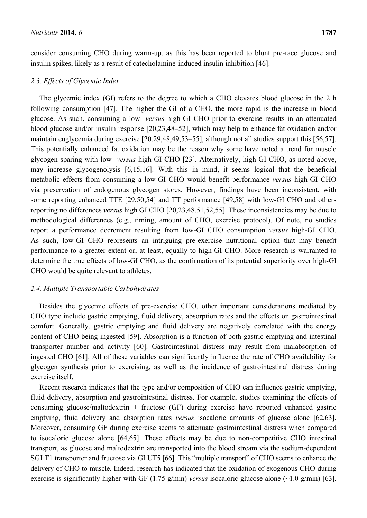consider consuming CHO during warm-up, as this has been reported to blunt pre-race glucose and insulin spikes, likely as a result of catecholamine-induced insulin inhibition [46].

#### *2.3. Effects of Glycemic Index*

The glycemic index (GI) refers to the degree to which a CHO elevates blood glucose in the 2 h following consumption [47]. The higher the GI of a CHO, the more rapid is the increase in blood glucose. As such, consuming a low- *versus* high-GI CHO prior to exercise results in an attenuated blood glucose and/or insulin response [20,23,48–52], which may help to enhance fat oxidation and/or maintain euglycemia during exercise [20,29,48,49,53–55], although not all studies support this [56,57]. This potentially enhanced fat oxidation may be the reason why some have noted a trend for muscle glycogen sparing with low- *versus* high-GI CHO [23]. Alternatively, high-GI CHO, as noted above, may increase glycogenolysis [6,15,16]. With this in mind, it seems logical that the beneficial metabolic effects from consuming a low-GI CHO would benefit performance *versus* high-GI CHO via preservation of endogenous glycogen stores. However, findings have been inconsistent, with some reporting enhanced TTE [29,50,54] and TT performance [49,58] with low-GI CHO and others reporting no differences *versus* high GI CHO [20,23,48,51,52,55]. These inconsistencies may be due to methodological differences (e.g., timing, amount of CHO, exercise protocol). Of note, no studies report a performance decrement resulting from low-GI CHO consumption *versus* high-GI CHO. As such, low-GI CHO represents an intriguing pre-exercise nutritional option that may benefit performance to a greater extent or, at least, equally to high-GI CHO. More research is warranted to determine the true effects of low-GI CHO, as the confirmation of its potential superiority over high-GI CHO would be quite relevant to athletes.

#### *2.4. Multiple Transportable Carbohydrates*

Besides the glycemic effects of pre-exercise CHO, other important considerations mediated by CHO type include gastric emptying, fluid delivery, absorption rates and the effects on gastrointestinal comfort. Generally, gastric emptying and fluid delivery are negatively correlated with the energy content of CHO being ingested [59]. Absorption is a function of both gastric emptying and intestinal transporter number and activity [60]. Gastrointestinal distress may result from malabsorption of ingested CHO [61]. All of these variables can significantly influence the rate of CHO availability for glycogen synthesis prior to exercising, as well as the incidence of gastrointestinal distress during exercise itself.

Recent research indicates that the type and/or composition of CHO can influence gastric emptying, fluid delivery, absorption and gastrointestinal distress. For example, studies examining the effects of consuming glucose/maltodextrin + fructose (GF) during exercise have reported enhanced gastric emptying, fluid delivery and absorption rates *versus* isocaloric amounts of glucose alone [62,63]. Moreover, consuming GF during exercise seems to attenuate gastrointestinal distress when compared to isocaloric glucose alone [64,65]. These effects may be due to non-competitive CHO intestinal transport, as glucose and maltodextrin are transported into the blood stream via the sodium-dependent SGLT1 transporter and fructose via GLUT5 [66]. This "multiple transport" of CHO seems to enhance the delivery of CHO to muscle. Indeed, research has indicated that the oxidation of exogenous CHO during exercise is significantly higher with GF (1.75 g/min) *versus* isocaloric glucose alone (~1.0 g/min) [63].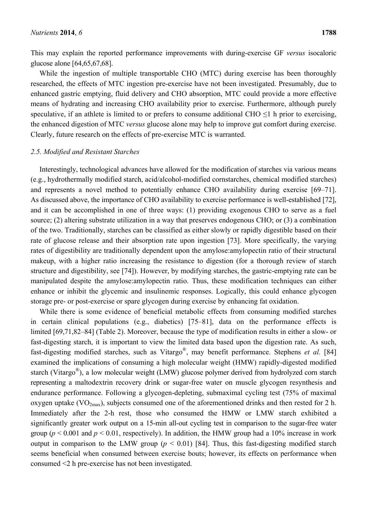This may explain the reported performance improvements with during-exercise GF *versus* isocaloric glucose alone [64,65,67,68].

While the ingestion of multiple transportable CHO (MTC) during exercise has been thoroughly researched, the effects of MTC ingestion pre-exercise have not been investigated. Presumably, due to enhanced gastric emptying, fluid delivery and CHO absorption, MTC could provide a more effective means of hydrating and increasing CHO availability prior to exercise. Furthermore, although purely speculative, if an athlete is limited to or prefers to consume additional CHO  $\leq$ 1 h prior to exercising, the enhanced digestion of MTC *versus* glucose alone may help to improve gut comfort during exercise. Clearly, future research on the effects of pre-exercise MTC is warranted.

#### *2.5. Modified and Resistant Starches*

Interestingly, technological advances have allowed for the modification of starches via various means (e.g., hydrothermally modified starch, acid/alcohol-modified cornstarches, chemical modified starches) and represents a novel method to potentially enhance CHO availability during exercise [69–71]. As discussed above, the importance of CHO availability to exercise performance is well-established [72], and it can be accomplished in one of three ways: (1) providing exogenous CHO to serve as a fuel source; (2) altering substrate utilization in a way that preserves endogenous CHO; or (3) a combination of the two. Traditionally, starches can be classified as either slowly or rapidly digestible based on their rate of glucose release and their absorption rate upon ingestion [73]. More specifically, the varying rates of digestibility are traditionally dependent upon the amylose:amylopectin ratio of their structural makeup, with a higher ratio increasing the resistance to digestion (for a thorough review of starch structure and digestibility, see [74]). However, by modifying starches, the gastric-emptying rate can be manipulated despite the amylose:amylopectin ratio. Thus, these modification techniques can either enhance or inhibit the glycemic and insulinemic responses. Logically, this could enhance glycogen storage pre- or post-exercise or spare glycogen during exercise by enhancing fat oxidation.

While there is some evidence of beneficial metabolic effects from consuming modified starches in certain clinical populations (e.g., diabetics) [75–81], data on the performance effects is limited [69,71,82–84] (Table 2). Moreover, because the type of modification results in either a slow- or fast-digesting starch, it is important to view the limited data based upon the digestion rate. As such, fast-digesting modified starches, such as Vitargo®, may benefit performance. Stephens *et al.* [84] examined the implications of consuming a high molecular weight (HMW) rapidly-digested modified starch (Vitargo®), a low molecular weight (LMW) glucose polymer derived from hydrolyzed corn starch representing a maltodextrin recovery drink or sugar-free water on muscle glycogen resynthesis and endurance performance. Following a glycogen-depleting, submaximal cycling test (75% of maximal oxygen uptake ( $VO_{2max}$ ), subjects consumed one of the aforementioned drinks and then rested for 2 h. Immediately after the 2-h rest, those who consumed the HMW or LMW starch exhibited a significantly greater work output on a 15-min all-out cycling test in comparison to the sugar-free water group ( $p < 0.001$  and  $p < 0.01$ , respectively). In addition, the HMW group had a 10% increase in work output in comparison to the LMW group  $(p < 0.01)$  [84]. Thus, this fast-digesting modified starch seems beneficial when consumed between exercise bouts; however, its effects on performance when consumed <2 h pre-exercise has not been investigated.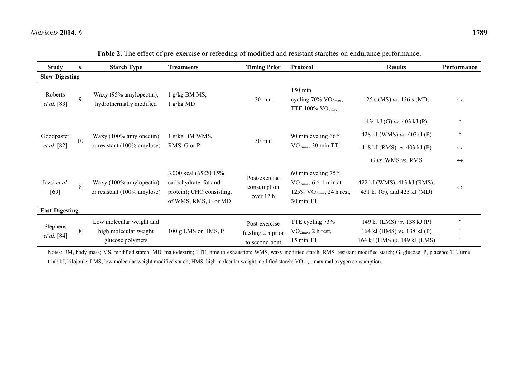| <b>Study</b>                           | $\boldsymbol{n}$            | <b>Starch Type</b>                                                    | <b>Treatments</b>                                                                                    | <b>Timing Prior</b>                                  | <b>Protocol</b>                                                                                          | <b>Results</b>                                                                             | Performance       |
|----------------------------------------|-----------------------------|-----------------------------------------------------------------------|------------------------------------------------------------------------------------------------------|------------------------------------------------------|----------------------------------------------------------------------------------------------------------|--------------------------------------------------------------------------------------------|-------------------|
| <b>Slow-Digesting</b>                  |                             |                                                                       |                                                                                                      |                                                      |                                                                                                          |                                                                                            |                   |
| Roberts<br>et al. [83]                 | $\mathbf{Q}$                | Waxy (95% amylopectin),<br>hydrothermally modified                    | $g/kg$ BM MS,<br>g/kgMD                                                                              | $30 \text{ min}$                                     | $150 \text{ min}$<br>cycling $70\%$ VO <sub>2max</sub> ,<br>TTE 100% $VO2max$                            | 125 s (MS) vs. 136 s (MD)                                                                  | $\leftrightarrow$ |
|                                        |                             |                                                                       |                                                                                                      |                                                      |                                                                                                          | 434 kJ (G) vs. 403 kJ (P)                                                                  |                   |
| Goodpaster<br>10<br><i>et al.</i> [82] | Waxy (100% amylopectin)     | g/kg BM WMS,                                                          | 30 min                                                                                               | 90 min cycling 66%<br>$VO2max$ , 30 min TT           | 428 kJ (WMS) vs. 403kJ (P)                                                                               |                                                                                            |                   |
|                                        | or resistant (100% amylose) | RMS, G or P                                                           |                                                                                                      |                                                      | 418 kJ (RMS) vs. 403 kJ (P)                                                                              | $\leftrightarrow$                                                                          |                   |
|                                        |                             |                                                                       |                                                                                                      |                                                      | G vs. WMS vs. RMS                                                                                        | $\leftrightarrow$                                                                          |                   |
| Jozsi et al.<br>$[69]$                 | 8                           | Waxy (100% amylopectin)<br>or resistant $(100\%$ amylose)             | 3,000 kcal (65:20:15%)<br>carbohydrate, fat and<br>protein); CHO consisting,<br>of WMS, RMS, G or MD | Post-exercise<br>consumption<br>over 12 h            | 60 min cycling $75%$<br>$\rm VO_{2max}, 6 \times 1$ min at<br>125% $VO_{2max}$ , 24 h rest,<br>30 min TT | 422 kJ (WMS), 413 kJ (RMS),<br>431 kJ (G), and 423 kJ (MD)                                 | $\leftrightarrow$ |
| <b>Fast-Digesting</b>                  |                             |                                                                       |                                                                                                      |                                                      |                                                                                                          |                                                                                            |                   |
| Stephens<br>et al. [84]                | 8                           | Low molecular weight and<br>high molecular weight<br>glucose polymers | 100 g LMS or HMS, P                                                                                  | Post-exercise<br>feeding 2 h prior<br>to second bout | TTE cycling 73%<br>$\rm VO_{2max}$ , 2 h rest,<br>15 min TT                                              | 149 kJ (LMS) vs. 138 kJ (P)<br>164 kJ (HMS) vs. 138 kJ (P)<br>164 kJ (HMS vs. 149 kJ (LMS) |                   |

|  |  |  |  |  | Table 2. The effect of pre-exercise or refeeding of modified and resistant starches on endurance performance. |  |
|--|--|--|--|--|---------------------------------------------------------------------------------------------------------------|--|
|--|--|--|--|--|---------------------------------------------------------------------------------------------------------------|--|

Notes: BM, body mass; MS, modified starch; MD, maltodextrin; TTE, time to exhaustion; WMS, waxy modified starch; RMS, resistant modified starch; G, glucose; P, placebo; TT, time trial; kJ, kilojoule; LMS, low molecular weight modified starch; HMS, high molecular weight modified starch; VO<sub>2max</sub>, maximal oxygen consumption.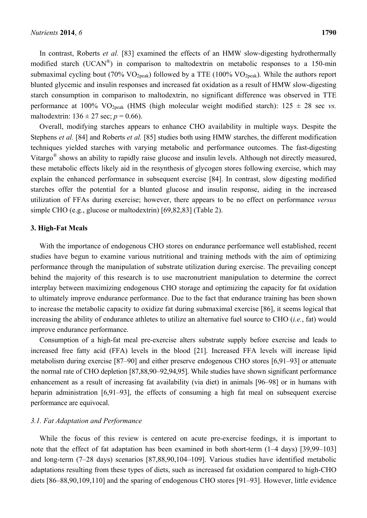In contrast, Roberts *et al.* [83] examined the effects of an HMW slow-digesting hydrothermally modified starch (UCAN®) in comparison to maltodextrin on metabolic responses to a 150-min submaximal cycling bout (70%  $VO_{2peak}$ ) followed by a TTE (100%  $VO_{2peak}$ ). While the authors report blunted glycemic and insulin responses and increased fat oxidation as a result of HMW slow-digesting starch consumption in comparison to maltodextrin, no significant difference was observed in TTE performance at 100% VO<sub>2peak</sub> (HMS (high molecular weight modified starch):  $125 \pm 28$  sec *vs.* maltodextrin:  $136 \pm 27$  sec;  $p = 0.66$ ).

Overall, modifying starches appears to enhance CHO availability in multiple ways. Despite the Stephens *et al.* [84] and Roberts *et al.* [85] studies both using HMW starches, the different modification techniques yielded starches with varying metabolic and performance outcomes. The fast-digesting Vitargo® shows an ability to rapidly raise glucose and insulin levels. Although not directly measured, these metabolic effects likely aid in the resynthesis of glycogen stores following exercise, which may explain the enhanced performance in subsequent exercise [84]. In contrast, slow digesting modified starches offer the potential for a blunted glucose and insulin response, aiding in the increased utilization of FFAs during exercise; however, there appears to be no effect on performance *versus* simple CHO (e.g., glucose or maltodextrin) [69,82,83] (Table 2).

#### **3. High-Fat Meals**

With the importance of endogenous CHO stores on endurance performance well established, recent studies have begun to examine various nutritional and training methods with the aim of optimizing performance through the manipulation of substrate utilization during exercise. The prevailing concept behind the majority of this research is to use macronutrient manipulation to determine the correct interplay between maximizing endogenous CHO storage and optimizing the capacity for fat oxidation to ultimately improve endurance performance. Due to the fact that endurance training has been shown to increase the metabolic capacity to oxidize fat during submaximal exercise [86], it seems logical that increasing the ability of endurance athletes to utilize an alternative fuel source to CHO (*i.e.*, fat) would improve endurance performance.

Consumption of a high-fat meal pre-exercise alters substrate supply before exercise and leads to increased free fatty acid (FFA) levels in the blood [21]. Increased FFA levels will increase lipid metabolism during exercise [87–90] and either preserve endogenous CHO stores [6,91–93] or attenuate the normal rate of CHO depletion [87,88,90–92,94,95]. While studies have shown significant performance enhancement as a result of increasing fat availability (via diet) in animals [96–98] or in humans with heparin administration [6,91–93], the effects of consuming a high fat meal on subsequent exercise performance are equivocal.

# *3.1. Fat Adaptation and Performance*

While the focus of this review is centered on acute pre-exercise feedings, it is important to note that the effect of fat adaptation has been examined in both short-term (1–4 days) [39,99–103] and long-term (7–28 days) scenarios [87,88,90,104–109]. Various studies have identified metabolic adaptations resulting from these types of diets, such as increased fat oxidation compared to high-CHO diets [86–88,90,109,110] and the sparing of endogenous CHO stores [91–93]. However, little evidence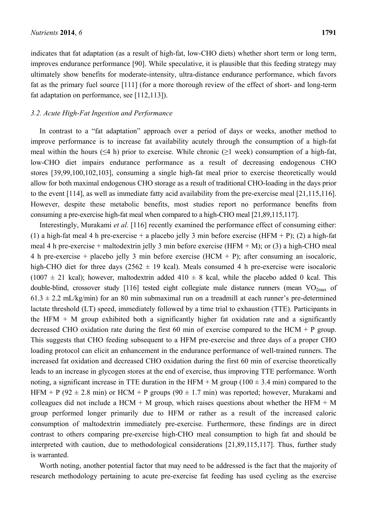indicates that fat adaptation (as a result of high-fat, low-CHO diets) whether short term or long term, improves endurance performance [90]. While speculative, it is plausible that this feeding strategy may ultimately show benefits for moderate-intensity, ultra-distance endurance performance, which favors fat as the primary fuel source [111] (for a more thorough review of the effect of short- and long-term fat adaptation on performance, see [112,113]).

# *3.2. Acute High-Fat Ingestion and Performance*

In contrast to a "fat adaptation" approach over a period of days or weeks, another method to improve performance is to increase fat availability acutely through the consumption of a high-fat meal within the hours ( $\leq 4$  h) prior to exercise. While chronic ( $\geq 1$  week) consumption of a high-fat, low-CHO diet impairs endurance performance as a result of decreasing endogenous CHO stores [39,99,100,102,103], consuming a single high-fat meal prior to exercise theoretically would allow for both maximal endogenous CHO storage as a result of traditional CHO-loading in the days prior to the event [114], as well as immediate fatty acid availability from the pre-exercise meal [21,115,116]. However, despite these metabolic benefits, most studies report no performance benefits from consuming a pre-exercise high-fat meal when compared to a high-CHO meal [21,89,115,117].

Interestingly, Murakami *et al.* [116] recently examined the performance effect of consuming either: (1) a high-fat meal 4 h pre-exercise + a placebo jelly 3 min before exercise (HFM + P); (2) a high-fat meal 4 h pre-exercise + maltodextrin jelly 3 min before exercise (HFM + M); or (3) a high-CHO meal 4 h pre-exercise + placebo jelly 3 min before exercise  $(HCM + P)$ ; after consuming an isocaloric, high-CHO diet for three days (2562  $\pm$  19 kcal). Meals consumed 4 h pre-exercise were isocaloric  $(1007 \pm 21 \text{ kcal})$ ; however, maltodextrin added  $410 \pm 8$  kcal, while the placebo added 0 kcal. This double-blind, crossover study [116] tested eight collegiate male distance runners (mean  $VO_{2max}$  of  $61.3 \pm 2.2$  mL/kg/min) for an 80 min submaximal run on a treadmill at each runner's pre-determined lactate threshold (LT) speed, immediately followed by a time trial to exhaustion (TTE). Participants in the HFM  $+$  M group exhibited both a significantly higher fat oxidation rate and a significantly decreased CHO oxidation rate during the first 60 min of exercise compared to the HCM + P group. This suggests that CHO feeding subsequent to a HFM pre-exercise and three days of a proper CHO loading protocol can elicit an enhancement in the endurance performance of well-trained runners. The increased fat oxidation and decreased CHO oxidation during the first 60 min of exercise theoretically leads to an increase in glycogen stores at the end of exercise, thus improving TTE performance. Worth noting, a significant increase in TTE duration in the HFM + M group ( $100 \pm 3.4$  min) compared to the HFM + P (92  $\pm$  2.8 min) or HCM + P groups (90  $\pm$  1.7 min) was reported; however, Murakami and colleagues did not include a HCM + M group, which raises questions about whether the HFM + M group performed longer primarily due to HFM or rather as a result of the increased caloric consumption of maltodextrin immediately pre-exercise. Furthermore, these findings are in direct contrast to others comparing pre-exercise high-CHO meal consumption to high fat and should be interpreted with caution, due to methodological considerations [21,89,115,117]. Thus, further study is warranted.

Worth noting, another potential factor that may need to be addressed is the fact that the majority of research methodology pertaining to acute pre-exercise fat feeding has used cycling as the exercise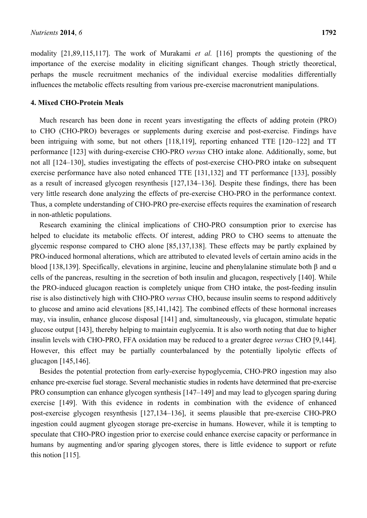modality [21,89,115,117]. The work of Murakami *et al.* [116] prompts the questioning of the importance of the exercise modality in eliciting significant changes. Though strictly theoretical, perhaps the muscle recruitment mechanics of the individual exercise modalities differentially influences the metabolic effects resulting from various pre-exercise macronutrient manipulations.

#### **4. Mixed CHO-Protein Meals**

Much research has been done in recent years investigating the effects of adding protein (PRO) to CHO (CHO-PRO) beverages or supplements during exercise and post-exercise. Findings have been intriguing with some, but not others [118,119], reporting enhanced TTE [120–122] and TT performance [123] with during-exercise CHO-PRO *versus* CHO intake alone. Additionally, some, but not all [124–130], studies investigating the effects of post-exercise CHO-PRO intake on subsequent exercise performance have also noted enhanced TTE [131,132] and TT performance [133], possibly as a result of increased glycogen resynthesis [127,134–136]. Despite these findings, there has been very little research done analyzing the effects of pre-exercise CHO-PRO in the performance context. Thus, a complete understanding of CHO-PRO pre-exercise effects requires the examination of research in non-athletic populations.

Research examining the clinical implications of CHO-PRO consumption prior to exercise has helped to elucidate its metabolic effects. Of interest, adding PRO to CHO seems to attenuate the glycemic response compared to CHO alone [85,137,138]. These effects may be partly explained by PRO-induced hormonal alterations, which are attributed to elevated levels of certain amino acids in the blood [138,139]. Specifically, elevations in arginine, leucine and phenylalanine stimulate both β and α cells of the pancreas, resulting in the secretion of both insulin and glucagon, respectively [140]. While the PRO-induced glucagon reaction is completely unique from CHO intake, the post-feeding insulin rise is also distinctively high with CHO-PRO *versus* CHO, because insulin seems to respond additively to glucose and amino acid elevations [85,141,142]. The combined effects of these hormonal increases may, via insulin, enhance glucose disposal [141] and, simultaneously, via glucagon, stimulate hepatic glucose output [143], thereby helping to maintain euglycemia. It is also worth noting that due to higher insulin levels with CHO-PRO, FFA oxidation may be reduced to a greater degree *versus* CHO [9,144]. However, this effect may be partially counterbalanced by the potentially lipolytic effects of glucagon [145,146].

Besides the potential protection from early-exercise hypoglycemia, CHO-PRO ingestion may also enhance pre-exercise fuel storage. Several mechanistic studies in rodents have determined that pre-exercise PRO consumption can enhance glycogen synthesis [147–149] and may lead to glycogen sparing during exercise [149]. With this evidence in rodents in combination with the evidence of enhanced post-exercise glycogen resynthesis [127,134–136], it seems plausible that pre-exercise CHO-PRO ingestion could augment glycogen storage pre-exercise in humans. However, while it is tempting to speculate that CHO-PRO ingestion prior to exercise could enhance exercise capacity or performance in humans by augmenting and/or sparing glycogen stores, there is little evidence to support or refute this notion [115].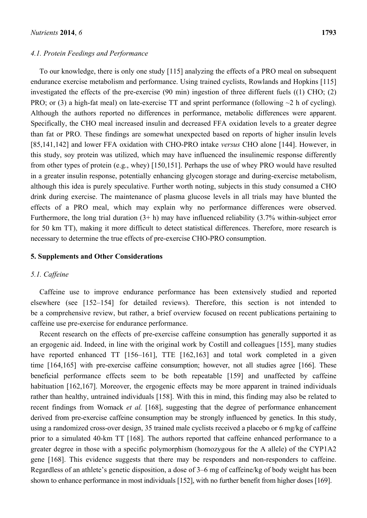#### *4.1. Protein Feedings and Performance*

To our knowledge, there is only one study [115] analyzing the effects of a PRO meal on subsequent endurance exercise metabolism and performance. Using trained cyclists, Rowlands and Hopkins [115] investigated the effects of the pre-exercise (90 min) ingestion of three different fuels ((1) CHO; (2) PRO; or (3) a high-fat meal) on late-exercise TT and sprint performance (following  $\sim$ 2 h of cycling). Although the authors reported no differences in performance, metabolic differences were apparent. Specifically, the CHO meal increased insulin and decreased FFA oxidation levels to a greater degree than fat or PRO. These findings are somewhat unexpected based on reports of higher insulin levels [85,141,142] and lower FFA oxidation with CHO-PRO intake *versus* CHO alone [144]. However, in this study, soy protein was utilized, which may have influenced the insulinemic response differently from other types of protein (e.g., whey) [150,151]. Perhaps the use of whey PRO would have resulted in a greater insulin response, potentially enhancing glycogen storage and during-exercise metabolism, although this idea is purely speculative. Further worth noting, subjects in this study consumed a CHO drink during exercise. The maintenance of plasma glucose levels in all trials may have blunted the effects of a PRO meal, which may explain why no performance differences were observed. Furthermore, the long trial duration  $(3+h)$  may have influenced reliability  $(3.7\%$  within-subject error for 50 km TT), making it more difficult to detect statistical differences. Therefore, more research is necessary to determine the true effects of pre-exercise CHO-PRO consumption.

## **5. Supplements and Other Considerations**

## *5.1. Caffeine*

Caffeine use to improve endurance performance has been extensively studied and reported elsewhere (see [152–154] for detailed reviews). Therefore, this section is not intended to be a comprehensive review, but rather, a brief overview focused on recent publications pertaining to caffeine use pre-exercise for endurance performance.

Recent research on the effects of pre-exercise caffeine consumption has generally supported it as an ergogenic aid. Indeed, in line with the original work by Costill and colleagues [155], many studies have reported enhanced TT [156–161], TTE [162,163] and total work completed in a given time [164,165] with pre-exercise caffeine consumption; however, not all studies agree [166]. These beneficial performance effects seem to be both repeatable [159] and unaffected by caffeine habituation [162,167]. Moreover, the ergogenic effects may be more apparent in trained individuals rather than healthy, untrained individuals [158]. With this in mind, this finding may also be related to recent findings from Womack *et al.* [168], suggesting that the degree of performance enhancement derived from pre-exercise caffeine consumption may be strongly influenced by genetics. In this study, using a randomized cross-over design, 35 trained male cyclists received a placebo or 6 mg/kg of caffeine prior to a simulated 40-km TT [168]. The authors reported that caffeine enhanced performance to a greater degree in those with a specific polymorphism (homozygous for the A allele) of the CYP1A2 gene [168]. This evidence suggests that there may be responders and non-responders to caffeine. Regardless of an athlete's genetic disposition, a dose of 3–6 mg of caffeine/kg of body weight has been shown to enhance performance in most individuals [152], with no further benefit from higher doses [169].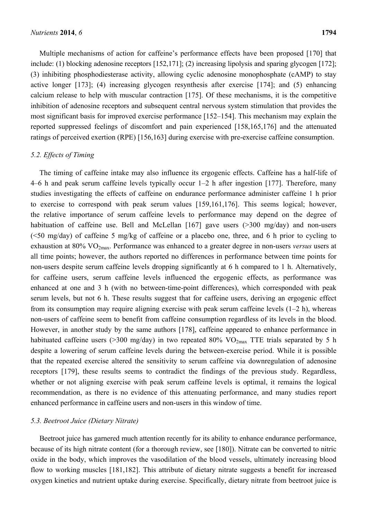Multiple mechanisms of action for caffeine's performance effects have been proposed [170] that include: (1) blocking adenosine receptors [152,171]; (2) increasing lipolysis and sparing glycogen [172]; (3) inhibiting phosphodiesterase activity, allowing cyclic adenosine monophosphate (cAMP) to stay active longer [173]; (4) increasing glycogen resynthesis after exercise [174]; and (5) enhancing calcium release to help with muscular contraction [175]. Of these mechanisms, it is the competitive inhibition of adenosine receptors and subsequent central nervous system stimulation that provides the most significant basis for improved exercise performance [152–154]. This mechanism may explain the reported suppressed feelings of discomfort and pain experienced [158,165,176] and the attenuated ratings of perceived exertion (RPE) [156,163] during exercise with pre-exercise caffeine consumption.

# *5.2. Effects of Timing*

The timing of caffeine intake may also influence its ergogenic effects. Caffeine has a half-life of 4–6 h and peak serum caffeine levels typically occur 1–2 h after ingestion [177]. Therefore, many studies investigating the effects of caffeine on endurance performance administer caffeine 1 h prior to exercise to correspond with peak serum values [159,161,176]. This seems logical; however, the relative importance of serum caffeine levels to performance may depend on the degree of habituation of caffeine use. Bell and McLellan [167] gave users (>300 mg/day) and non-users (<50 mg/day) of caffeine 5 mg/kg of caffeine or a placebo one, three, and 6 h prior to cycling to exhaustion at 80% VO2max. Performance was enhanced to a greater degree in non-users *versus* users at all time points; however, the authors reported no differences in performance between time points for non-users despite serum caffeine levels dropping significantly at 6 h compared to 1 h. Alternatively, for caffeine users, serum caffeine levels influenced the ergogenic effects, as performance was enhanced at one and 3 h (with no between-time-point differences), which corresponded with peak serum levels, but not 6 h. These results suggest that for caffeine users, deriving an ergogenic effect from its consumption may require aligning exercise with peak serum caffeine levels (1–2 h), whereas non-users of caffeine seem to benefit from caffeine consumption regardless of its levels in the blood. However, in another study by the same authors [178], caffeine appeared to enhance performance in habituated caffeine users (>300 mg/day) in two repeated 80%  $VO<sub>2max</sub>$  TTE trials separated by 5 h despite a lowering of serum caffeine levels during the between-exercise period. While it is possible that the repeated exercise altered the sensitivity to serum caffeine via downregulation of adenosine receptors [179], these results seems to contradict the findings of the previous study. Regardless, whether or not aligning exercise with peak serum caffeine levels is optimal, it remains the logical recommendation, as there is no evidence of this attenuating performance, and many studies report enhanced performance in caffeine users and non-users in this window of time.

# *5.3. Beetroot Juice (Dietary Nitrate)*

Beetroot juice has garnered much attention recently for its ability to enhance endurance performance, because of its high nitrate content (for a thorough review, see [180]). Nitrate can be converted to nitric oxide in the body, which improves the vasodilation of the blood vessels, ultimately increasing blood flow to working muscles [181,182]. This attribute of dietary nitrate suggests a benefit for increased oxygen kinetics and nutrient uptake during exercise. Specifically, dietary nitrate from beetroot juice is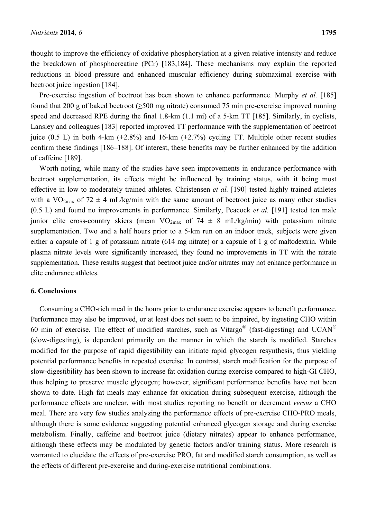thought to improve the efficiency of oxidative phosphorylation at a given relative intensity and reduce the breakdown of phosphocreatine (PCr) [183,184]. These mechanisms may explain the reported reductions in blood pressure and enhanced muscular efficiency during submaximal exercise with beetroot juice ingestion [184].

Pre-exercise ingestion of beetroot has been shown to enhance performance. Murphy *et al.* [185] found that 200 g of baked beetroot (≥500 mg nitrate) consumed 75 min pre-exercise improved running speed and decreased RPE during the final 1.8-km (1.1 mi) of a 5-km TT [185]. Similarly, in cyclists, Lansley and colleagues [183] reported improved TT performance with the supplementation of beetroot juice  $(0.5 \text{ L})$  in both 4-km  $(+2.8\%)$  and 16-km  $(+2.7\%)$  cycling TT. Multiple other recent studies confirm these findings [186–188]. Of interest, these benefits may be further enhanced by the addition of caffeine [189].

Worth noting, while many of the studies have seen improvements in endurance performance with beetroot supplementation, its effects might be influenced by training status, with it being most effective in low to moderately trained athletes. Christensen *et al.* [190] tested highly trained athletes with a VO<sub>2max</sub> of 72  $\pm$  4 mL/kg/min with the same amount of beetroot juice as many other studies (0.5 L) and found no improvements in performance. Similarly, Peacock *et al.* [191] tested ten male junior elite cross-country skiers (mean VO<sub>2max</sub> of 74  $\pm$  8 mL/kg/min) with potassium nitrate supplementation. Two and a half hours prior to a 5-km run on an indoor track, subjects were given either a capsule of 1 g of potassium nitrate (614 mg nitrate) or a capsule of 1 g of maltodextrin. While plasma nitrate levels were significantly increased, they found no improvements in TT with the nitrate supplementation. These results suggest that beetroot juice and/or nitrates may not enhance performance in elite endurance athletes.

## **6. Conclusions**

Consuming a CHO-rich meal in the hours prior to endurance exercise appears to benefit performance. Performance may also be improved, or at least does not seem to be impaired, by ingesting CHO within 60 min of exercise. The effect of modified starches, such as Vitargo<sup>®</sup> (fast-digesting) and UCAN<sup>®</sup> (slow-digesting), is dependent primarily on the manner in which the starch is modified. Starches modified for the purpose of rapid digestibility can initiate rapid glycogen resynthesis, thus yielding potential performance benefits in repeated exercise. In contrast, starch modification for the purpose of slow-digestibility has been shown to increase fat oxidation during exercise compared to high-GI CHO, thus helping to preserve muscle glycogen; however, significant performance benefits have not been shown to date. High fat meals may enhance fat oxidation during subsequent exercise, although the performance effects are unclear, with most studies reporting no benefit or decrement *versus* a CHO meal. There are very few studies analyzing the performance effects of pre-exercise CHO-PRO meals, although there is some evidence suggesting potential enhanced glycogen storage and during exercise metabolism. Finally, caffeine and beetroot juice (dietary nitrates) appear to enhance performance, although these effects may be modulated by genetic factors and/or training status. More research is warranted to elucidate the effects of pre-exercise PRO, fat and modified starch consumption, as well as the effects of different pre-exercise and during-exercise nutritional combinations.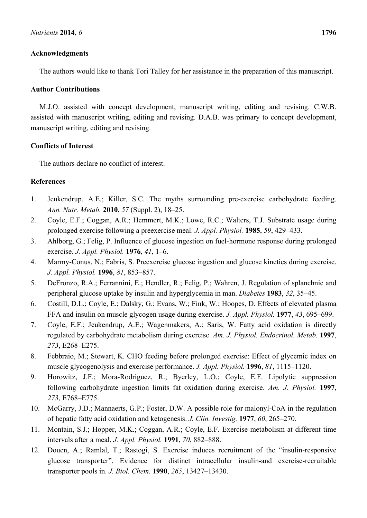# **Acknowledgments**

The authors would like to thank Tori Talley for her assistance in the preparation of this manuscript.

# **Author Contributions**

M.J.O. assisted with concept development, manuscript writing, editing and revising. C.W.B. assisted with manuscript writing, editing and revising. D.A.B. was primary to concept development, manuscript writing, editing and revising.

# **Conflicts of Interest**

The authors declare no conflict of interest.

# **References**

- 1. Jeukendrup, A.E.; Killer, S.C. The myths surrounding pre-exercise carbohydrate feeding. *Ann. Nutr. Metab.* **2010**, *57* (Suppl. 2), 18–25.
- 2. Coyle, E.F.; Coggan, A.R.; Hemmert, M.K.; Lowe, R.C.; Walters, T.J. Substrate usage during prolonged exercise following a preexercise meal. *J. Appl. Physiol.* **1985**, *59*, 429–433.
- 3. Ahlborg, G.; Felig, P. Influence of glucose ingestion on fuel-hormone response during prolonged exercise. *J. Appl. Physiol.* **1976**, *41*, 1–6.
- 4. Marmy-Conus, N.; Fabris, S. Preexercise glucose ingestion and glucose kinetics during exercise. *J. Appl. Physiol.* **1996**, *81*, 853–857.
- 5. DeFronzo, R.A.; Ferrannini, E.; Hendler, R.; Felig, P.; Wahren, J. Regulation of splanchnic and peripheral glucose uptake by insulin and hyperglycemia in man. *Diabetes* **1983**, *32*, 35–45.
- 6. Costill, D.L.; Coyle, E.; Dalsky, G.; Evans, W.; Fink, W.; Hoopes, D. Effects of elevated plasma FFA and insulin on muscle glycogen usage during exercise. *J. Appl. Physiol.* **1977**, *43*, 695–699.
- 7. Coyle, E.F.; Jeukendrup, A.E.; Wagenmakers, A.; Saris, W. Fatty acid oxidation is directly regulated by carbohydrate metabolism during exercise. *Am. J. Physiol. Endocrinol. Metab.* **1997**, *273*, E268–E275.
- 8. Febbraio, M.; Stewart, K. CHO feeding before prolonged exercise: Effect of glycemic index on muscle glycogenolysis and exercise performance. *J. Appl. Physiol.* **1996**, *81*, 1115–1120.
- 9. Horowitz, J.F.; Mora-Rodriguez, R.; Byerley, L.O.; Coyle, E.F. Lipolytic suppression following carbohydrate ingestion limits fat oxidation during exercise. *Am. J. Physiol.* **1997**, *273*, E768–E775.
- 10. McGarry, J.D.; Mannaerts, G.P.; Foster, D.W. A possible role for malonyl-CoA in the regulation of hepatic fatty acid oxidation and ketogenesis. *J. Clin. Investig.* **1977**, *60*, 265–270.
- 11. Montain, S.J.; Hopper, M.K.; Coggan, A.R.; Coyle, E.F. Exercise metabolism at different time intervals after a meal. *J. Appl. Physiol.* **1991**, *70*, 882–888.
- 12. Douen, A.; Ramlal, T.; Rastogi, S. Exercise induces recruitment of the "insulin-responsive glucose transporter". Evidence for distinct intracellular insulin-and exercise-recruitable transporter pools in. *J. Biol. Chem.* **1990**, *265*, 13427–13430.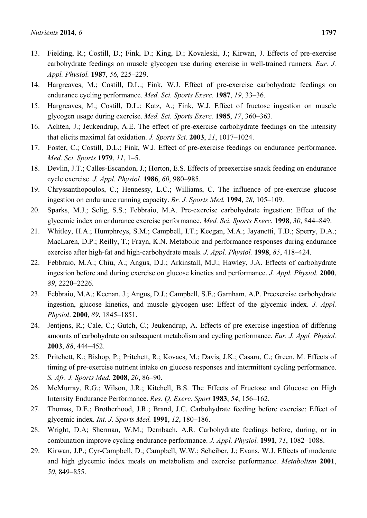- 13. Fielding, R.; Costill, D.; Fink, D.; King, D.; Kovaleski, J.; Kirwan, J. Effects of pre-exercise carbohydrate feedings on muscle glycogen use during exercise in well-trained runners. *Eur. J. Appl. Physiol.* **1987**, *56*, 225–229.
- 14. Hargreaves, M.; Costill, D.L.; Fink, W.J. Effect of pre-exercise carbohydrate feedings on endurance cycling performance. *Med. Sci. Sports Exerc.* **1987**, *19*, 33–36.
- 15. Hargreaves, M.; Costill, D.L.; Katz, A.; Fink, W.J. Effect of fructose ingestion on muscle glycogen usage during exercise. *Med. Sci. Sports Exerc.* **1985**, *17*, 360–363.
- 16. Achten, J.; Jeukendrup, A.E. The effect of pre-exercise carbohydrate feedings on the intensity that elicits maximal fat oxidation. *J. Sports Sci.* **2003**, *21*, 1017–1024.
- 17. Foster, C.; Costill, D.L.; Fink, W.J. Effect of pre-exercise feedings on endurance performance. *Med. Sci. Sports* **1979**, *11*, 1–5.
- 18. Devlin, J.T.; Calles-Escandon, J.; Horton, E.S. Effects of preexercise snack feeding on endurance cycle exercise. *J. Appl. Physiol.* **1986**, *60*, 980–985.
- 19. Chryssanthopoulos, C.; Hennessy, L.C.; Williams, C. The influence of pre-exercise glucose ingestion on endurance running capacity. *Br. J. Sports Med.* **1994**, *28*, 105–109.
- 20. Sparks, M.J.; Selig, S.S.; Febbraio, M.A. Pre-exercise carbohydrate ingestion: Effect of the glycemic index on endurance exercise performance. *Med. Sci. Sports Exerc.* **1998**, *30*, 844–849.
- 21. Whitley, H.A.; Humphreys, S.M.; Campbell, I.T.; Keegan, M.A.; Jayanetti, T.D.; Sperry, D.A.; MacLaren, D.P.; Reilly, T.; Frayn, K.N. Metabolic and performance responses during endurance exercise after high-fat and high-carbohydrate meals. *J. Appl. Physiol.* **1998**, *85*, 418–424.
- 22. Febbraio, M.A.; Chiu, A.; Angus, D.J.; Arkinstall, M.J.; Hawley, J.A. Effects of carbohydrate ingestion before and during exercise on glucose kinetics and performance. *J. Appl. Physiol.* **2000**, *89*, 2220–2226.
- 23. Febbraio, M.A.; Keenan, J.; Angus, D.J.; Campbell, S.E.; Garnham, A.P. Preexercise carbohydrate ingestion, glucose kinetics, and muscle glycogen use: Effect of the glycemic index. *J. Appl. Physiol*. **2000**, *89*, 1845–1851.
- 24. Jentjens, R.; Cale, C.; Gutch, C.; Jeukendrup, A. Effects of pre-exercise ingestion of differing amounts of carbohydrate on subsequent metabolism and cycling performance. *Eur. J. Appl. Physiol.* **2003**, *88*, 444–452.
- 25. Pritchett, K.; Bishop, P.; Pritchett, R.; Kovacs, M.; Davis, J.K.; Casaru, C.; Green, M. Effects of timing of pre-exercise nutrient intake on glucose responses and intermittent cycling performance. *S. Afr. J. Sports Med.* **2008**, *20*, 86–90.
- 26. McMurray, R.G.; Wilson, J.R.; Kitchell, B.S. The Effects of Fructose and Glucose on High Intensity Endurance Performance. *Res. Q. Exerc. Sport* **1983**, *54*, 156–162.
- 27. Thomas, D.E.; Brotherhood, J.R.; Brand, J.C. Carbohydrate feeding before exercise: Effect of glycemic index. *Int. J. Sports Med.* **1991**, *12*, 180–186.
- 28. Wright, D.A; Sherman, W.M.; Dernbach, A.R. Carbohydrate feedings before, during, or in combination improve cycling endurance performance. *J. Appl. Physiol.* **1991**, *71*, 1082–1088.
- 29. Kirwan, J.P.; Cyr-Campbell, D.; Campbell, W.W.; Scheiber, J.; Evans, W.J. Effects of moderate and high glycemic index meals on metabolism and exercise performance. *Metabolism* **2001**, *50*, 849–855.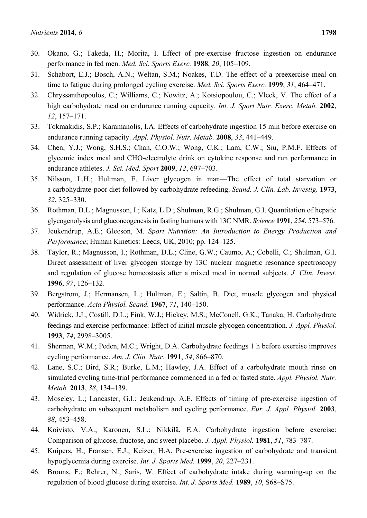- 30. Okano, G.; Takeda, H.; Morita, I. Effect of pre-exercise fructose ingestion on endurance performance in fed men. *Med. Sci. Sports Exerc.* **1988**, *20*, 105–109.
- 31. Schabort, E.J.; Bosch, A.N.; Weltan, S.M.; Noakes, T.D. The effect of a preexercise meal on time to fatigue during prolonged cycling exercise. *Med. Sci. Sports Exerc.* **1999**, *31*, 464–471.
- 32. Chryssanthopoulos, C.; Williams, C.; Nowitz, A.; Kotsiopoulou, C.; Vleck, V. The effect of a high carbohydrate meal on endurance running capacity. *Int. J. Sport Nutr. Exerc. Metab.* **2002**, *12*, 157–171.
- 33. Tokmakidis, S.P.; Karamanolis, I.A. Effects of carbohydrate ingestion 15 min before exercise on endurance running capacity. *Appl. Physiol. Nutr. Metab.* **2008**, *33*, 441–449.
- 34. Chen, Y.J.; Wong, S.H.S.; Chan, C.O.W.; Wong, C.K.; Lam, C.W.; Siu, P.M.F. Effects of glycemic index meal and CHO-electrolyte drink on cytokine response and run performance in endurance athletes. *J. Sci. Med. Sport* **2009**, *12*, 697–703.
- 35. Nilsson, L.H.; Hultman, E. Liver glycogen in man—The effect of total starvation or a carbohydrate-poor diet followed by carbohydrate refeeding. *Scand. J. Clin. Lab. Investig.* **1973**, *32*, 325–330.
- 36. Rothman, D.L.; Magnusson, I.; Katz, L.D.; Shulman, R.G.; Shulman, G.I. Quantitation of hepatic glycogenolysis and gluconeogenesis in fasting humans with 13C NMR. *Science* **1991**, *254*, 573–576.
- 37. Jeukendrup, A.E.; Gleeson, M. *Sport Nutrition: An Introduction to Energy Production and Performance*; Human Kinetics: Leeds, UK, 2010; pp. 124–125.
- 38. Taylor, R.; Magnusson, I.; Rothman, D.L.; Cline, G.W.; Caumo, A.; Cobelli, C.; Shulman, G.I. Direct assessment of liver glycogen storage by 13C nuclear magnetic resonance spectroscopy and regulation of glucose homeostasis after a mixed meal in normal subjects. *J. Clin. Invest.* **1996**, *97*, 126–132.
- 39. Bergstrom, J.; Hermansen, L.; Hultman, E.; Saltin, B. Diet, muscle glycogen and physical performance. *Acta Physiol. Scand.* **1967**, *71*, 140–150.
- 40. Widrick, J.J.; Costill, D.L.; Fink, W.J.; Hickey, M.S.; McConell, G.K.; Tanaka, H. Carbohydrate feedings and exercise performance: Effect of initial muscle glycogen concentration. *J. Appl. Physiol.* **1993**, *74*, 2998–3005.
- 41. Sherman, W.M.; Peden, M.C.; Wright, D.A. Carbohydrate feedings 1 h before exercise improves cycling performance. *Am. J. Clin. Nutr.* **1991**, *54*, 866–870.
- 42. Lane, S.C.; Bird, S.R.; Burke, L.M.; Hawley, J.A. Effect of a carbohydrate mouth rinse on simulated cycling time-trial performance commenced in a fed or fasted state. *Appl. Physiol. Nutr. Metab.* **2013**, *38*, 134–139.
- 43. Moseley, L.; Lancaster, G.I.; Jeukendrup, A.E. Effects of timing of pre-exercise ingestion of carbohydrate on subsequent metabolism and cycling performance. *Eur. J. Appl. Physiol.* **2003**, *88*, 453–458.
- 44. Koivisto, V.A.; Karonen, S.L.; Nikkilä, E.A. Carbohydrate ingestion before exercise: Comparison of glucose, fructose, and sweet placebo. *J. Appl. Physiol.* **1981**, *51*, 783–787.
- 45. Kuipers, H.; Fransen, E.J.; Keizer, H.A. Pre-exercise ingestion of carbohydrate and transient hypoglycemia during exercise. *Int. J. Sports Med.* **1999**, *20*, 227–231.
- 46. Brouns, F.; Rehrer, N.; Saris, W. Effect of carbohydrate intake during warming-up on the regulation of blood glucose during exercise. *Int. J. Sports Med.* **1989**, *10*, S68–S75.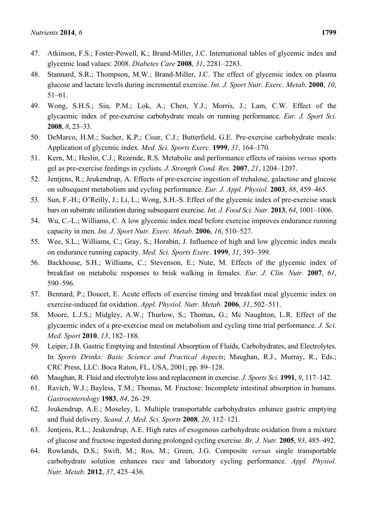- 47. Atkinson, F.S.; Foster-Powell, K.; Brand-Miller, J.C. International tables of glycemic index and glycemic load values: 2008. *Diabetes Care* **2008**, *31*, 2281–2283.
- 48. Stannard, S.R.; Thompson, M.W.; Brand-Miller, J.C. The effect of glycemic index on plasma glucose and lactate levels during incremental exercise. *Int. J. Sport Nutr. Exerc. Metab.* **2000**, *10*, 51–61.
- 49. Wong, S.H.S.; Siu, P.M.; Lok, A.; Chen, Y.J.; Morris, J.; Lam, C.W. Effect of the glycaemic index of pre-exercise carbohydrate meals on running performance. *Eur. J. Sport Sci.* **2008**, *8*, 23–33.
- 50. DeMarco, H.M.; Sucher, K.P.; Cisar, C.J.; Butterfield, G.E. Pre-exercise carbohydrate meals: Application of glycemic index. *Med. Sci. Sports Exerc.* **1999**, *31*, 164–170.
- 51. Kern, M.; Heslin, C.J.; Rezende, R.S. Metabolic and performance effects of raisins *versus* sports gel as pre-exercise feedings in cyclists. *J. Strength Cond. Res.* **2007**, *21*, 1204–1207.
- 52. Jentjens, R.; Jeukendrup, A. Effects of pre-exercise ingestion of trehalose, galactose and glucose on subsequent metabolism and cycling performance. *Eur. J. Appl. Physiol.* **2003**, *88*, 459–465.
- 53. Sun, F.-H.; O'Reilly, J.; Li, L.; Wong, S.H.-S. Effect of the glycemic index of pre-exercise snack bars on substrate utilization during subsequent exercise. *Int. J. Food Sci. Nutr.* **2013**, *64*, 1001–1006.
- 54. Wu, C.-L.; Williams, C. A low glycemic index meal before exercise improves endurance running capacity in men. *Int. J. Sport Nutr. Exerc. Metab*. **2006**, *16*, 510–527.
- 55. Wee, S.L.; Williams, C.; Gray, S.; Horabin, J. Influence of high and low glycemic index meals on endurance running capacity. *Med. Sci. Sports Exerc*. **1999**, *31*, 393–399.
- 56. Backhouse, S.H.; Williams, C.; Stevenson, E.; Nute, M. Effects of the glycemic index of breakfast on metabolic responses to brisk walking in females. *Eur. J. Clin. Nutr.* **2007**, *61*, 590–596.
- 57. Bennard, P.; Doucet, E. Acute effects of exercise timing and breakfast meal glycemic index on exercise-induced fat oxidation. *Appl. Physiol. Nutr. Metab.* **2006**, *31*, 502–511.
- 58. Moore, L.J.S.; Midgley, A.W.; Thurlow, S.; Thomas, G.; Mc Naughton, L.R. Effect of the glycaemic index of a pre-exercise meal on metabolism and cycling time trial performance. *J. Sci. Med. Sport* **2010**, *13*, 182–188.
- 59. Leiper, J.B. Gastric Emptying and Intestinal Absorption of Fluids, Carbohydrates, and Electrolytes. In *Sports Drinks: Basic Science and Practical Aspects*; Maughan, R.J., Murray, R., Eds.; CRC Press, LLC: Boca Raton, FL, USA, 2001; pp. 89–128.
- 60. Maughan, R. Fluid and electrolyte loss and replacement in exercise. *J. Sports Sci.* **1991**, *9*, 117–142.
- 61. Ravich, W.J.; Bayless, T.M.; Thomas, M. Fructose: Incomplete intestinal absorption in humans. *Gastroenterology* **1983**, *84*, 26–29.
- 62. Jeukendrup, A.E.; Moseley, L. Multiple transportable carbohydrates enhance gastric emptying and fluid delivery. *Scand. J. Med. Sci. Sports* **2008**, *20*, 112–121.
- 63. Jentjens, R.L.; Jeukendrup, A.E. High rates of exogenous carbohydrate oxidation from a mixture of glucose and fructose ingested during prolonged cycling exercise. *Br. J. Nutr.* **2005**, *93*, 485–492.
- 64. Rowlands, D.S.; Swift, M.; Ros, M.; Green, J.G. Composite *versus* single transportable carbohydrate solution enhances race and laboratory cycling performance. *Appl. Physiol. Nutr. Metab.* **2012**, *37*, 425–436.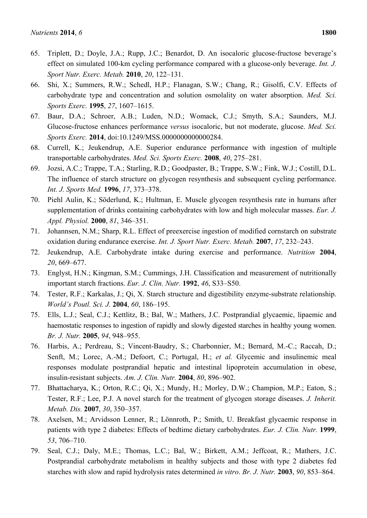- 65. Triplett, D.; Doyle, J.A.; Rupp, J.C.; Benardot, D. An isocaloric glucose-fructose beverage's effect on simulated 100-km cycling performance compared with a glucose-only beverage. *Int. J. Sport Nutr. Exerc. Metab.* **2010**, *20*, 122–131.
- 66. Shi, X.; Summers, R.W.; Schedl, H.P.; Flanagan, S.W.; Chang, R.; Gisolfi, C.V. Effects of carbohydrate type and concentration and solution osmolality on water absorption. *Med. Sci. Sports Exerc.* **1995**, *27*, 1607–1615.
- 67. Baur, D.A.; Schroer, A.B.; Luden, N.D.; Womack, C.J.; Smyth, S.A.; Saunders, M.J. Glucose-fructose enhances performance *versus* isocaloric, but not moderate, glucose. *Med. Sci. Sports Exerc.* **2014**, doi:10.1249/MSS.0000000000000284.
- 68. Currell, K.; Jeukendrup, A.E. Superior endurance performance with ingestion of multiple transportable carbohydrates. *Med. Sci. Sports Exerc.* **2008**, *40*, 275–281.
- 69. Jozsi, A.C.; Trappe, T.A.; Starling, R.D.; Goodpaster, B.; Trappe, S.W.; Fink, W.J.; Costill, D.L. The influence of starch structure on glycogen resynthesis and subsequent cycling performance. *Int. J. Sports Med.* **1996**, *17*, 373–378.
- 70. Piehl Aulin, K.; Söderlund, K.; Hultman, E. Muscle glycogen resynthesis rate in humans after supplementation of drinks containing carbohydrates with low and high molecular masses. *Eur. J. Appl. Physiol.* **2000**, *81*, 346–351.
- 71. Johannsen, N.M.; Sharp, R.L. Effect of preexercise ingestion of modified cornstarch on substrate oxidation during endurance exercise. *Int. J. Sport Nutr. Exerc. Metab.* **2007**, *17*, 232–243.
- 72. Jeukendrup, A.E. Carbohydrate intake during exercise and performance. *Nutrition* **2004**, *20*, 669–677.
- 73. Englyst, H.N.; Kingman, S.M.; Cummings, J.H. Classification and measurement of nutritionally important starch fractions. *Eur. J. Clin. Nutr.* **1992**, *46*, S33–S50.
- 74. Tester, R.F.; Karkalas, J.; Qi, X. Starch structure and digestibility enzyme-substrate relationship. *World's Poutl. Sci. J.* **2004**, *60*, 186–195.
- 75. Ells, L.J.; Seal, C.J.; Kettlitz, B.; Bal, W.; Mathers, J.C. Postprandial glycaemic, lipaemic and haemostatic responses to ingestion of rapidly and slowly digested starches in healthy young women. *Br. J. Nutr.* **2005**, *94*, 948–955.
- 76. Harbis, A.; Perdreau, S.; Vincent-Baudry, S.; Charbonnier, M.; Bernard, M.-C.; Raccah, D.; Senft, M.; Lorec, A.-M.; Defoort, C.; Portugal, H.; *et al.* Glycemic and insulinemic meal responses modulate postprandial hepatic and intestinal lipoprotein accumulation in obese, insulin-resistant subjects. *Am. J. Clin. Nutr.* **2004**, *80*, 896–902.
- 77. Bhattacharya, K.; Orton, R.C.; Qi, X.; Mundy, H.; Morley, D.W.; Champion, M.P.; Eaton, S.; Tester, R.F.; Lee, P.J. A novel starch for the treatment of glycogen storage diseases. *J. Inherit. Metab. Dis.* **2007**, *30*, 350–357.
- 78. Axelsen, M.; Arvidsson Lenner, R.; Lönnroth, P.; Smith, U. Breakfast glycaemic response in patients with type 2 diabetes: Effects of bedtime dietary carbohydrates. *Eur. J. Clin. Nutr.* **1999**, *53*, 706–710.
- 79. Seal, C.J.; Daly, M.E.; Thomas, L.C.; Bal, W.; Birkett, A.M.; Jeffcoat, R.; Mathers, J.C. Postprandial carbohydrate metabolism in healthy subjects and those with type 2 diabetes fed starches with slow and rapid hydrolysis rates determined *in vitro*. *Br. J. Nutr.* **2003**, *90*, 853–864.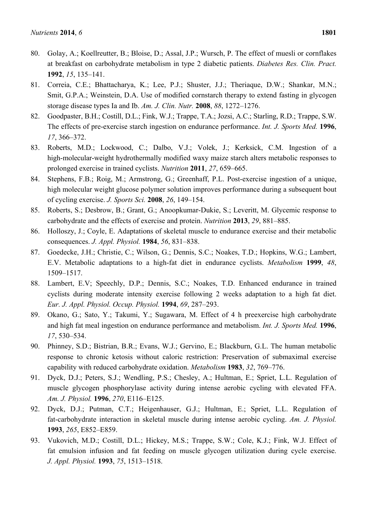- 80. Golay, A.; Koellreutter, B.; Bloise, D.; Assal, J.P.; Wursch, P. The effect of muesli or cornflakes at breakfast on carbohydrate metabolism in type 2 diabetic patients. *Diabetes Res. Clin. Pract.* **1992**, *15*, 135–141.
- 81. Correia, C.E.; Bhattacharya, K.; Lee, P.J.; Shuster, J.J.; Theriaque, D.W.; Shankar, M.N.; Smit, G.P.A.; Weinstein, D.A. Use of modified cornstarch therapy to extend fasting in glycogen storage disease types Ia and Ib. *Am. J. Clin. Nutr.* **2008**, *88*, 1272–1276.
- 82. Goodpaster, B.H.; Costill, D.L.; Fink, W.J.; Trappe, T.A.; Jozsi, A.C.; Starling, R.D.; Trappe, S.W. The effects of pre-exercise starch ingestion on endurance performance. *Int. J. Sports Med.* **1996**, *17*, 366–372.
- 83. Roberts, M.D.; Lockwood, C.; Dalbo, V.J.; Volek, J.; Kerksick, C.M. Ingestion of a high-molecular-weight hydrothermally modified waxy maize starch alters metabolic responses to prolonged exercise in trained cyclists. *Nutrition* **2011**, *27*, 659–665.
- 84. Stephens, F.B.; Roig, M.; Armstrong, G.; Greenhaff, P.L. Post-exercise ingestion of a unique, high molecular weight glucose polymer solution improves performance during a subsequent bout of cycling exercise. *J. Sports Sci.* **2008**, *26*, 149–154.
- 85. Roberts, S.; Desbrow, B.; Grant, G.; Anoopkumar-Dukie, S.; Leveritt, M. Glycemic response to carbohydrate and the effects of exercise and protein. *Nutrition* **2013**, *29*, 881–885.
- 86. Holloszy, J.; Coyle, E. Adaptations of skeletal muscle to endurance exercise and their metabolic consequences. *J. Appl. Physiol.* **1984**, *56*, 831–838.
- 87. Goedecke, J.H.; Christie, C.; Wilson, G.; Dennis, S.C.; Noakes, T.D.; Hopkins, W.G.; Lambert, E.V. Metabolic adaptations to a high-fat diet in endurance cyclists. *Metabolism* **1999**, *48*, 1509–1517.
- 88. Lambert, E.V; Speechly, D.P.; Dennis, S.C.; Noakes, T.D. Enhanced endurance in trained cyclists during moderate intensity exercise following 2 weeks adaptation to a high fat diet. *Eur. J. Appl. Physiol. Occup. Physiol.* **1994**, *69*, 287–293.
- 89. Okano, G.; Sato, Y.; Takumi, Y.; Sugawara, M. Effect of 4 h preexercise high carbohydrate and high fat meal ingestion on endurance performance and metabolism. *Int. J. Sports Med.* **1996**, *17*, 530–534.
- 90. Phinney, S.D.; Bistrian, B.R.; Evans, W.J.; Gervino, E.; Blackburn, G.L. The human metabolic response to chronic ketosis without caloric restriction: Preservation of submaximal exercise capability with reduced carbohydrate oxidation. *Metabolism* **1983**, *32*, 769–776.
- 91. Dyck, D.J.; Peters, S.J.; Wendling, P.S.; Chesley, A.; Hultman, E.; Spriet, L.L. Regulation of muscle glycogen phosphorylase activity during intense aerobic cycling with elevated FFA. *Am. J. Physiol.* **1996**, *270*, E116–E125.
- 92. Dyck, D.J.; Putman, C.T.; Heigenhauser, G.J.; Hultman, E.; Spriet, L.L. Regulation of fat-carbohydrate interaction in skeletal muscle during intense aerobic cycling. *Am. J. Physiol.* **1993**, *265*, E852–E859.
- 93. Vukovich, M.D.; Costill, D.L.; Hickey, M.S.; Trappe, S.W.; Cole, K.J.; Fink, W.J. Effect of fat emulsion infusion and fat feeding on muscle glycogen utilization during cycle exercise. *J. Appl. Physiol.* **1993**, *75*, 1513–1518.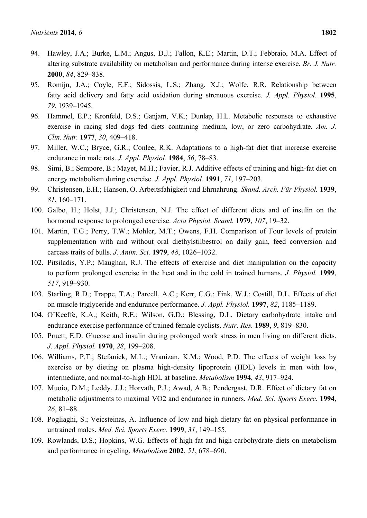- 94. Hawley, J.A.; Burke, L.M.; Angus, D.J.; Fallon, K.E.; Martin, D.T.; Febbraio, M.A. Effect of altering substrate availability on metabolism and performance during intense exercise. *Br. J. Nutr.* **2000**, *84*, 829–838.
- 95. Romijn, J.A.; Coyle, E.F.; Sidossis, L.S.; Zhang, X.J.; Wolfe, R.R. Relationship between fatty acid delivery and fatty acid oxidation during strenuous exercise. *J. Appl. Physiol.* **1995**, *79*, 1939–1945.
- 96. Hammel, E.P.; Kronfeld, D.S.; Ganjam, V.K.; Dunlap, H.L. Metabolic responses to exhaustive exercise in racing sled dogs fed diets containing medium, low, or zero carbohydrate. *Am. J. Clin. Nutr.* **1977**, *30*, 409–418.
- 97. Miller, W.C.; Bryce, G.R.; Conlee, R.K. Adaptations to a high-fat diet that increase exercise endurance in male rats. *J. Appl. Physiol.* **1984**, *56*, 78–83.
- 98. Simi, B.; Sempore, B.; Mayet, M.H.; Favier, R.J. Additive effects of training and high-fat diet on energy metabolism during exercise. *J. Appl. Physiol.* **1991**, *71*, 197–203.
- 99. Christensen, E.H.; Hanson, O. Arbeitsfahigkeit und Ehrnahrung. *Skand. Arch. Für Physiol.* **1939**, *81*, 160–171.
- 100. Galbo, H.; Holst, J.J.; Christensen, N.J. The effect of different diets and of insulin on the hormonal response to prolonged exercise. *Acta Physiol. Scand.* **1979**, *107*, 19–32.
- 101. Martin, T.G.; Perry, T.W.; Mohler, M.T.; Owens, F.H. Comparison of Four levels of protein supplementation with and without oral diethylstilbestrol on daily gain, feed conversion and carcass traits of bulls. *J. Anim. Sci.* **1979**, *48*, 1026–1032.
- 102. Pitsiladis, Y.P.; Maughan, R.J. The effects of exercise and diet manipulation on the capacity to perform prolonged exercise in the heat and in the cold in trained humans. *J. Physiol.* **1999**, *517*, 919–930.
- 103. Starling, R.D.; Trappe, T.A.; Parcell, A.C.; Kerr, C.G.; Fink, W.J.; Costill, D.L. Effects of diet on muscle triglyceride and endurance performance. *J. Appl. Physiol.* **1997**, *82*, 1185–1189.
- 104. O'Keeffe, K.A.; Keith, R.E.; Wilson, G.D.; Blessing, D.L. Dietary carbohydrate intake and endurance exercise performance of trained female cyclists. *Nutr. Res.* **1989**, *9*, 819–830.
- 105. Pruett, E.D. Glucose and insulin during prolonged work stress in men living on different diets. *J. Appl. Physiol.* **1970**, *28*, 199–208.
- 106. Williams, P.T.; Stefanick, M.L.; Vranizan, K.M.; Wood, P.D. The effects of weight loss by exercise or by dieting on plasma high-density lipoprotein (HDL) levels in men with low, intermediate, and normal-to-high HDL at baseline. *Metabolism* **1994**, *43*, 917–924.
- 107. Muoio, D.M.; Leddy, J.J.; Horvath, P.J.; Awad, A.B.; Pendergast, D.R. Effect of dietary fat on metabolic adjustments to maximal VO2 and endurance in runners. *Med. Sci. Sports Exerc.* **1994**, *26*, 81–88.
- 108. Pogliaghi, S.; Veicsteinas, A. Influence of low and high dietary fat on physical performance in untrained males. *Med. Sci. Sports Exerc.* **1999**, *31*, 149–155.
- 109. Rowlands, D.S.; Hopkins, W.G. Effects of high-fat and high-carbohydrate diets on metabolism and performance in cycling. *Metabolism* **2002**, *51*, 678–690.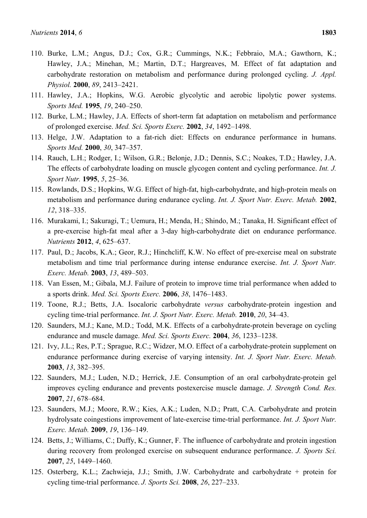- 110. Burke, L.M.; Angus, D.J.; Cox, G.R.; Cummings, N.K.; Febbraio, M.A.; Gawthorn, K.; Hawley, J.A.; Minehan, M.; Martin, D.T.; Hargreaves, M. Effect of fat adaptation and carbohydrate restoration on metabolism and performance during prolonged cycling. *J. Appl. Physiol.* **2000**, *89*, 2413–2421.
- 111. Hawley, J.A.; Hopkins, W.G. Aerobic glycolytic and aerobic lipolytic power systems. *Sports Med.* **1995**, *19*, 240–250.
- 112. Burke, L.M.; Hawley, J.A. Effects of short-term fat adaptation on metabolism and performance of prolonged exercise. *Med. Sci. Sports Exerc.* **2002**, *34*, 1492–1498.
- 113. Helge, J.W. Adaptation to a fat-rich diet: Effects on endurance performance in humans. *Sports Med.* **2000**, *30*, 347–357.
- 114. Rauch, L.H.; Rodger, I.; Wilson, G.R.; Belonje, J.D.; Dennis, S.C.; Noakes, T.D.; Hawley, J.A. The effects of carbohydrate loading on muscle glycogen content and cycling performance. *Int. J. Sport Nutr.* **1995**, *5*, 25–36.
- 115. Rowlands, D.S.; Hopkins, W.G. Effect of high-fat, high-carbohydrate, and high-protein meals on metabolism and performance during endurance cycling. *Int. J. Sport Nutr. Exerc. Metab.* **2002**, *12*, 318–335.
- 116. Murakami, I.; Sakuragi, T.; Uemura, H.; Menda, H.; Shindo, M.; Tanaka, H. Significant effect of a pre-exercise high-fat meal after a 3-day high-carbohydrate diet on endurance performance. *Nutrients* **2012**, *4*, 625–637.
- 117. Paul, D.; Jacobs, K.A.; Geor, R.J.; Hinchcliff, K.W. No effect of pre-exercise meal on substrate metabolism and time trial performance during intense endurance exercise. *Int. J. Sport Nutr. Exerc. Metab.* **2003**, *13*, 489–503.
- 118. Van Essen, M.; Gibala, M.J. Failure of protein to improve time trial performance when added to a sports drink. *Med. Sci. Sports Exerc.* **2006**, *38*, 1476–1483.
- 119. Toone, R.J.; Betts, J.A. Isocaloric carbohydrate *versus* carbohydrate-protein ingestion and cycling time-trial performance. *Int. J. Sport Nutr. Exerc. Metab.* **2010**, *20*, 34–43.
- 120. Saunders, M.J.; Kane, M.D.; Todd, M.K. Effects of a carbohydrate-protein beverage on cycling endurance and muscle damage. *Med. Sci. Sports Exerc.* **2004**, *36*, 1233–1238.
- 121. Ivy, J.L.; Res, P.T.; Sprague, R.C.; Widzer, M.O. Effect of a carbohydrate-protein supplement on endurance performance during exercise of varying intensity. *Int. J. Sport Nutr. Exerc. Metab.* **2003**, *13*, 382–395.
- 122. Saunders, M.J.; Luden, N.D.; Herrick, J.E. Consumption of an oral carbohydrate-protein gel improves cycling endurance and prevents postexercise muscle damage. *J. Strength Cond. Res.* **2007**, *21*, 678–684.
- 123. Saunders, M.J.; Moore, R.W.; Kies, A.K.; Luden, N.D.; Pratt, C.A. Carbohydrate and protein hydrolysate coingestions improvement of late-exercise time-trial performance. *Int. J. Sport Nutr. Exerc. Metab.* **2009**, *19*, 136–149.
- 124. Betts, J.; Williams, C.; Duffy, K.; Gunner, F. The influence of carbohydrate and protein ingestion during recovery from prolonged exercise on subsequent endurance performance. *J. Sports Sci.* **2007**, *25*, 1449–1460.
- 125. Osterberg, K.L.; Zachwieja, J.J.; Smith, J.W. Carbohydrate and carbohydrate + protein for cycling time-trial performance. *J. Sports Sci.* **2008**, *26*, 227–233.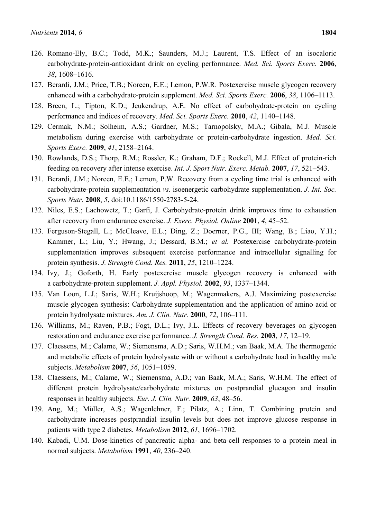- 126. Romano-Ely, B.C.; Todd, M.K.; Saunders, M.J.; Laurent, T.S. Effect of an isocaloric carbohydrate-protein-antioxidant drink on cycling performance. *Med. Sci. Sports Exerc.* **2006**, *38*, 1608–1616.
- 127. Berardi, J.M.; Price, T.B.; Noreen, E.E.; Lemon, P.W.R. Postexercise muscle glycogen recovery enhanced with a carbohydrate-protein supplement. *Med. Sci. Sports Exerc.* **2006**, *38*, 1106–1113.
- 128. Breen, L.; Tipton, K.D.; Jeukendrup, A.E. No effect of carbohydrate-protein on cycling performance and indices of recovery. *Med. Sci. Sports Exerc.* **2010**, *42*, 1140–1148.
- 129. Cermak, N.M.; Solheim, A.S.; Gardner, M.S.; Tarnopolsky, M.A.; Gibala, M.J. Muscle metabolism during exercise with carbohydrate or protein-carbohydrate ingestion. *Med. Sci. Sports Exerc.* **2009**, *41*, 2158–2164.
- 130. Rowlands, D.S.; Thorp, R.M.; Rossler, K.; Graham, D.F.; Rockell, M.J. Effect of protein-rich feeding on recovery after intense exercise. *Int. J. Sport Nutr. Exerc. Metab.* **2007**, *17*, 521–543.
- 131. Berardi, J.M.; Noreen, E.E.; Lemon, P.W. Recovery from a cycling time trial is enhanced with carbohydrate-protein supplementation *vs.* isoenergetic carbohydrate supplementation. *J. Int. Soc. Sports Nutr.* **2008**, *5*, doi:10.1186/1550-2783-5-24.
- 132. Niles, E.S.; Lachowetz, T.; Garfi, J. Carbohydrate-protein drink improves time to exhaustion after recovery from endurance exercise. *J. Exerc. Physiol. Online* **2001**, *4*, 45–52.
- 133. Ferguson-Stegall, L.; McCleave, E.L.; Ding, Z.; Doerner, P.G., III; Wang, B.; Liao, Y.H.; Kammer, L.; Liu, Y.; Hwang, J.; Dessard, B.M.; *et al.* Postexercise carbohydrate-protein supplementation improves subsequent exercise performance and intracellular signalling for protein synthesis. *J. Strength Cond. Res.* **2011**, *25*, 1210–1224.
- 134. Ivy, J.; Goforth, H. Early postexercise muscle glycogen recovery is enhanced with a carbohydrate-protein supplement. *J. Appl. Physiol.* **2002**, *93*, 1337–1344.
- 135. Van Loon, L.J.; Saris, W.H.; Kruijshoop, M.; Wagenmakers, A.J. Maximizing postexercise muscle glycogen synthesis: Carbohydrate supplementation and the application of amino acid or protein hydrolysate mixtures. *Am. J. Clin. Nutr.* **2000**, *72*, 106–111.
- 136. Williams, M.; Raven, P.B.; Fogt, D.L.; Ivy, J.L. Effects of recovery beverages on glycogen restoration and endurance exercise performance. *J. Strength Cond. Res.* **2003**, *17*, 12–19.
- 137. Claessens, M.; Calame, W.; Siemensma, A.D.; Saris, W.H.M.; van Baak, M.A. The thermogenic and metabolic effects of protein hydrolysate with or without a carbohydrate load in healthy male subjects. *Metabolism* **2007**, *56*, 1051–1059.
- 138. Claessens, M.; Calame, W.; Siemensma, A.D.; van Baak, M.A.; Saris, W.H.M. The effect of different protein hydrolysate/carbohydrate mixtures on postprandial glucagon and insulin responses in healthy subjects. *Eur. J. Clin. Nutr.* **2009**, *63*, 48–56.
- 139. Ang, M.; Müller, A.S.; Wagenlehner, F.; Pilatz, A.; Linn, T. Combining protein and carbohydrate increases postprandial insulin levels but does not improve glucose response in patients with type 2 diabetes. *Metabolism* **2012**, *61*, 1696–1702.
- 140. Kabadi, U.M. Dose-kinetics of pancreatic alpha- and beta-cell responses to a protein meal in normal subjects. *Metabolism* **1991**, *40*, 236–240.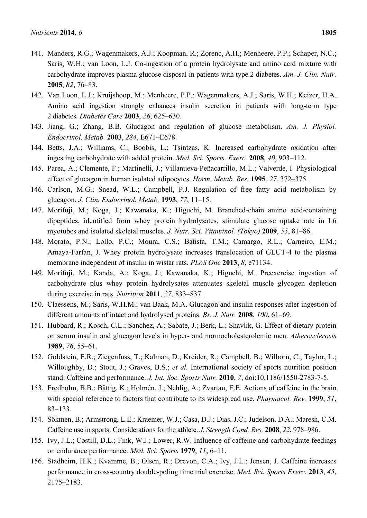- 141. Manders, R.G.; Wagenmakers, A.J.; Koopman, R.; Zorenc, A.H.; Menheere, P.P.; Schaper, N.C.; Saris, W.H.; van Loon, L.J. Co-ingestion of a protein hydrolysate and amino acid mixture with carbohydrate improves plasma glucose disposal in patients with type 2 diabetes. *Am. J. Clin. Nutr.* **2005**, *82*, 76–83.
- 142. Van Loon, L.J.; Kruijshoop, M.; Menheere, P.P.; Wagenmakers, A.J.; Saris, W.H.; Keizer, H.A. Amino acid ingestion strongly enhances insulin secretion in patients with long-term type 2 diabetes. *Diabetes Care* **2003**, *26*, 625–630.
- 143. Jiang, G.; Zhang, B.B. Glucagon and regulation of glucose metabolism. *Am. J. Physiol. Endocrinol. Metab.* **2003**, *284*, E671–E678.
- 144. Betts, J.A.; Williams, C.; Boobis, L.; Tsintzas, K. Increased carbohydrate oxidation after ingesting carbohydrate with added protein. *Med. Sci. Sports. Exerc.* **2008**, *40*, 903–112.
- 145. Parea, A.; Clemente, F.; Martinelli, J.; Villanueva-Peñacarrillo, M.L.; Valverde, I. Physiological effect of glucagon in human isolated adipocytes. *Horm. Metab. Res.* **1995**, *27*, 372–375.
- 146. Carlson, M.G.; Snead, W.L.; Campbell, P.J. Regulation of free fatty acid metabolism by glucagon. *J. Clin. Endocrinol. Metab.* **1993**, *77*, 11–15.
- 147. Morifuji, M.; Koga, J.; Kawanaka, K.; Higuchi, M. Branched-chain amino acid-containing dipeptides, identified from whey protein hydrolysates, stimulate glucose uptake rate in L6 myotubes and isolated skeletal muscles. *J. Nutr. Sci. Vitaminol. (Tokyo)* **2009**, *55*, 81–86.
- 148. Morato, P.N.; Lollo, P.C.; Moura, C.S.; Batista, T.M.; Camargo, R.L.; Carneiro, E.M.; Amaya-Farfan, J. Whey protein hydrolysate increases translocation of GLUT-4 to the plasma membrane independent of insulin in wistar rats. *PLoS One* **2013**, *8*, e71134.
- 149. Morifuji, M.; Kanda, A.; Koga, J.; Kawanaka, K.; Higuchi, M. Preexercise ingestion of carbohydrate plus whey protein hydrolysates attenuates skeletal muscle glycogen depletion during exercise in rats. *Nutrition* **2011**, *27*, 833–837.
- 150. Claessens, M.; Saris, W.H.M.; van Baak, M.A. Glucagon and insulin responses after ingestion of different amounts of intact and hydrolysed proteins. *Br. J. Nutr.* **2008**, *100*, 61–69.
- 151. Hubbard, R.; Kosch, C.L.; Sanchez, A.; Sabate, J.; Berk, L.; Shavlik, G. Effect of dietary protein on serum insulin and glucagon levels in hyper- and normocholesterolemic men. *Atherosclerosis* **1989**, *76*, 55–61.
- 152. Goldstein, E.R.; Ziegenfuss, T.; Kalman, D.; Kreider, R.; Campbell, B.; Wilborn, C.; Taylor, L.; Willoughby, D.; Stout, J.; Graves, B.S.; *et al.* International society of sports nutrition position stand: Caffeine and performance. *J. Int. Soc. Sports Nutr.* **2010**, *7*, doi:10.1186/1550-2783-7-5.
- 153. Fredholm, B.B.; Bättig, K.; Holmén, J.; Nehlig, A.; Zvartau, E.E. Actions of caffeine in the brain with special reference to factors that contribute to its widespread use. *Pharmacol. Rev.* **1999**, *51*, 83–133.
- 154. Sökmen, B.; Armstrong, L.E.; Kraemer, W.J.; Casa, D.J.; Dias, J.C.; Judelson, D.A.; Maresh, C.M. Caffeine use in sports: Considerations for the athlete. *J. Strength Cond. Res.* **2008**, *22*, 978–986.
- 155. Ivy, J.L.; Costill, D.L.; Fink, W.J.; Lower, R.W. Influence of caffeine and carbohydrate feedings on endurance performance. *Med. Sci. Sports* **1979**, *11*, 6–11.
- 156. Stadheim, H.K.; Kvamme, B.; Olsen, R.; Drevon, C.A.; Ivy, J.L.; Jensen, J. Caffeine increases performance in cross-country double-poling time trial exercise. *Med. Sci. Sports Exerc.* **2013**, *45*, 2175–2183.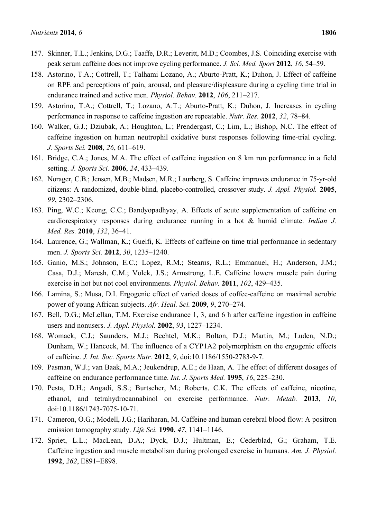- 157. Skinner, T.L.; Jenkins, D.G.; Taaffe, D.R.; Leveritt, M.D.; Coombes, J.S. Coinciding exercise with peak serum caffeine does not improve cycling performance. *J. Sci. Med. Sport* **2012**, *16*, 54–59.
- 158. Astorino, T.A.; Cottrell, T.; Talhami Lozano, A.; Aburto-Pratt, K.; Duhon, J. Effect of caffeine on RPE and perceptions of pain, arousal, and pleasure/displeasure during a cycling time trial in endurance trained and active men. *Physiol. Behav.* **2012**, *106*, 211–217.
- 159. Astorino, T.A.; Cottrell, T.; Lozano, A.T.; Aburto-Pratt, K.; Duhon, J. Increases in cycling performance in response to caffeine ingestion are repeatable. *Nutr. Res.* **2012**, *32*, 78–84.
- 160. Walker, G.J.; Dziubak, A.; Houghton, L.; Prendergast, C.; Lim, L.; Bishop, N.C. The effect of caffeine ingestion on human neutrophil oxidative burst responses following time-trial cycling. *J. Sports Sci.* **2008**, *26*, 611–619.
- 161. Bridge, C.A.; Jones, M.A. The effect of caffeine ingestion on 8 km run performance in a field setting. *J. Sports Sci.* **2006**, *24*, 433–439.
- 162. Norager, C.B.; Jensen, M.B.; Madsen, M.R.; Laurberg, S. Caffeine improves endurance in 75-yr-old citizens: A randomized, double-blind, placebo-controlled, crossover study. *J. Appl. Physiol.* **2005**, *99*, 2302–2306.
- 163. Ping, W.C.; Keong, C.C.; Bandyopadhyay, A. Effects of acute supplementation of caffeine on cardiorespiratory responses during endurance running in a hot & humid climate. *Indian J. Med. Res.* **2010**, *132*, 36–41.
- 164. Laurence, G.; Wallman, K.; Guelfi, K. Effects of caffeine on time trial performance in sedentary men. *J. Sports Sci.* **2012**, *30*, 1235–1240.
- 165. Ganio, M.S.; Johnson, E.C.; Lopez, R.M.; Stearns, R.L.; Emmanuel, H.; Anderson, J.M.; Casa, D.J.; Maresh, C.M.; Volek, J.S.; Armstrong, L.E. Caffeine lowers muscle pain during exercise in hot but not cool environments. *Physiol. Behav.* **2011**, *102*, 429–435.
- 166. Lamina, S.; Musa, D.I. Ergogenic effect of varied doses of coffee-caffeine on maximal aerobic power of young African subjects. *Afr. Heal. Sci.* **2009**, *9*, 270–274.
- 167. Bell, D.G.; McLellan, T.M. Exercise endurance 1, 3, and 6 h after caffeine ingestion in caffeine users and nonusers. *J. Appl. Physiol.* **2002**, *93*, 1227–1234.
- 168. Womack, C.J.; Saunders, M.J.; Bechtel, M.K.; Bolton, D.J.; Martin, M.; Luden, N.D.; Dunham, W.; Hancock, M. The influence of a CYP1A2 polymorphism on the ergogenic effects of caffeine. *J. Int. Soc. Sports Nutr.* **2012**, *9*, doi:10.1186/1550-2783-9-7.
- 169. Pasman, W.J.; van Baak, M.A.; Jeukendrup, A.E.; de Haan, A. The effect of different dosages of caffeine on endurance performance time. *Int. J. Sports Med.* **1995**, *16*, 225–230.
- 170. Pesta, D.H.; Angadi, S.S.; Burtscher, M.; Roberts, C.K. The effects of caffeine, nicotine, ethanol, and tetrahydrocannabinol on exercise performance. *Nutr. Metab.* **2013**, *10*, doi:10.1186/1743-7075-10-71.
- 171. Cameron, O.G.; Modell, J.G.; Hariharan, M. Caffeine and human cerebral blood flow: A positron emission tomography study. *Life Sci.* **1990**, *47*, 1141–1146.
- 172. Spriet, L.L.; MacLean, D.A.; Dyck, D.J.; Hultman, E.; Cederblad, G.; Graham, T.E. Caffeine ingestion and muscle metabolism during prolonged exercise in humans. *Am. J. Physiol.* **1992**, *262*, E891–E898.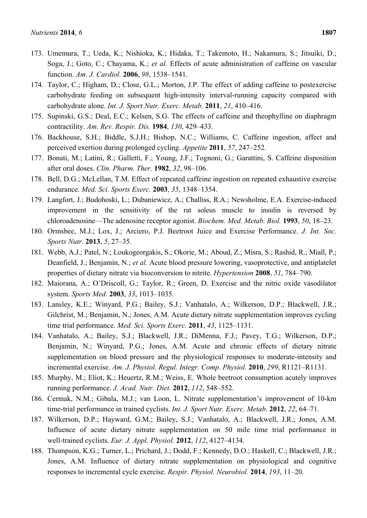- 173. Umemura, T.; Ueda, K.; Nishioka, K.; Hidaka, T.; Takemoto, H.; Nakamura, S.; Jitsuiki, D.; Soga, J.; Goto, C.; Chayama, K.; *et al.* Effects of acute administration of caffeine on vascular function. *Am. J. Cardiol.* **2006**, *98*, 1538–1541.
- 174. Taylor, C.; Higham, D.; Close, G.L.; Morton, J.P. The effect of adding caffeine to postexercise carbohydrate feeding on subsequent high-intensity interval-running capacity compared with carbohydrate alone. *Int. J. Sport Nutr. Exerc. Metab.* **2011**, *21*, 410–416.
- 175. Supinski, G.S.; Deal, E.C.; Kelsen, S.G. The effects of caffeine and theophylline on diaphragm contractility. *Am. Rev. Respir. Dis.* **1984**, *130*, 429–433.
- 176. Backhouse, S.H.; Biddle, S.J.H.; Bishop, N.C.; Williams, C. Caffeine ingestion, affect and perceived exertion during prolonged cycling. *Appetite* **2011**, *57*, 247–252.
- 177. Bonati, M.; Latini, R.; Galletti, F.; Young, J.F.; Tognoni, G.; Garattini, S. Caffeine disposition after oral doses. *Clin. Pharm. Ther.* **1982**, *32*, 98–106.
- 178. Bell, D.G.; McLellan, T.M. Effect of repeated caffeine ingestion on repeated exhaustive exercise endurance. *Med. Sci. Sports Exerc.* **2003**, *35*, 1348–1354.
- 179. Langfort, J.; Budohoski, L.; Dubaniewicz, A.; Challiss, R.A.; Newsholme, E.A. Exercise-induced improvement in the sensitivity of the rat soleus muscle to insulin is reversed by chloroadenosine—The adenosine receptor agonist. *Biochem. Med. Metab. Biol.* **1993**, *50*, 18–23.
- 180. Ormsbee, M.J.; Lox, J.; Arciero, P.J. Beetroot Juice and Exercise Performance. *J. Int. Soc. Sports Nutr.* **2013**, *5*, 27–35.
- 181. Webb, A.J.; Patel, N.; Loukogeorgakis, S.; Okorie, M.; Aboud, Z.; Misra, S.; Rashid, R.; Miall, P.; Deanfield, J.; Benjamin, N.; *et al.* Acute blood pressure lowering, vasoprotective, and antiplatelet properties of dietary nitrate via bioconversion to nitrite. *Hypertension* **2008**, *51*, 784–790.
- 182. Maiorana, A.; O'Driscoll, G.; Taylor, R.; Green, D. Exercise and the nitric oxide vasodilator system. *Sports Med.* **2003**, *33*, 1013–1035.
- 183. Lansley, K.E.; Winyard, P.G.; Bailey, S.J.; Vanhatalo, A.; Wilkerson, D.P.; Blackwell, J.R.; Gilchrist, M.; Benjamin, N.; Jones, A.M. Acute dietary nitrate supplementation improves cycling time trial performance. *Med. Sci. Sports Exerc.* **2011**, *43*, 1125–1131.
- 184. Vanhatalo, A.; Bailey, S.J.; Blackwell, J.R.; DiMenna, F.J.; Pavey, T.G.; Wilkerson, D.P.; Benjamin, N.; Winyard, P.G.; Jones, A.M. Acute and chronic effects of dietary nitrate supplementation on blood pressure and the physiological responses to moderate-intensity and incremental exercise. *Am. J. Physiol. Regul. Integr. Comp. Physiol.* **2010**, *299*, R1121–R1131.
- 185. Murphy, M.; Eliot, K.; Heuertz, R.M.; Weiss, E. Whole beetroot consumption acutely improves running performance. *J. Acad. Nutr. Diet.* **2012**, *112*, 548–552.
- 186. Cermak, N.M.; Gibala, M.J.; van Loon, L. Nitrate supplementation's improvement of 10-km time-trial performance in trained cyclists. *Int. J. Sport Nutr. Exerc. Metab.* **2012**, *22*, 64–71.
- 187. Wilkerson, D.P.; Hayward, G.M.; Bailey, S.J.; Vanhatalo, A.; Blackwell, J.R.; Jones, A.M. Influence of acute dietary nitrate supplementation on 50 mile time trial performance in well-trained cyclists. *Eur. J. Appl. Physiol.* **2012**, *112*, 4127–4134.
- 188. Thompson, K.G.; Turner, L.; Prichard, J.; Dodd, F.; Kennedy, D.O.; Haskell, C.; Blackwell, J.R.; Jones, A.M. Influence of dietary nitrate supplementation on physiological and cognitive responses to incremental cycle exercise. *Respir. Physiol. Neurobiol.* **2014**, *193*, 11–20.